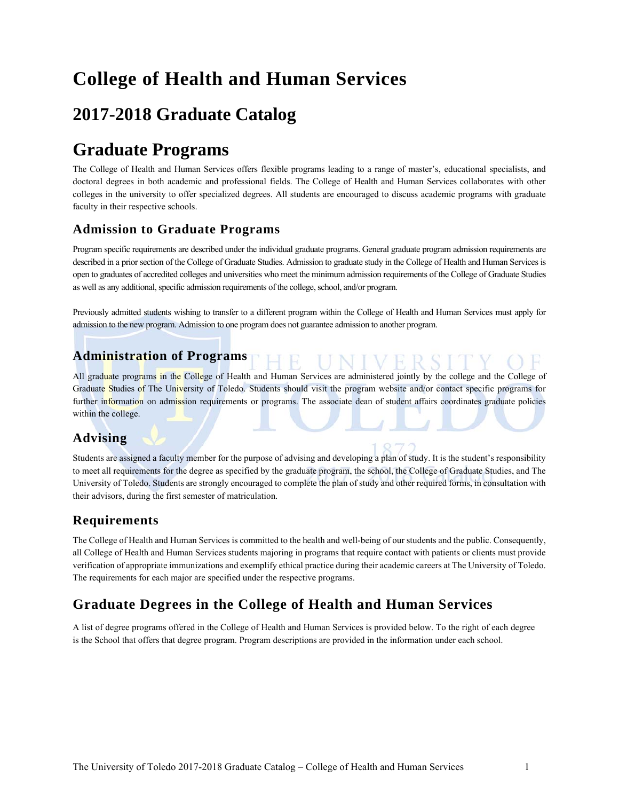# **College of Health and Human Services**

# **2017-2018 Graduate Catalog**

# **Graduate Programs**

The College of Health and Human Services offers flexible programs leading to a range of master's, educational specialists, and doctoral degrees in both academic and professional fields. The College of Health and Human Services collaborates with other colleges in the university to offer specialized degrees. All students are encouraged to discuss academic programs with graduate faculty in their respective schools.

# **Admission to Graduate Programs**

Program specific requirements are described under the individual graduate programs. General graduate program admission requirements are described in a prior section of the College of Graduate Studies. Admission to graduate study in the College of Health and Human Services is open to graduates of accredited colleges and universities who meet the minimum admission requirements of the College of Graduate Studies as well as any additional, specific admission requirements of the college, school, and/or program.

Previously admitted students wishing to transfer to a different program within the College of Health and Human Services must apply for admission to the new program. Admission to one program does not guarantee admission to another program.

# **Administration of Programs**

All graduate programs in the College of Health and Human Services are administered jointly by the college and the College of Graduate Studies of The University of Toledo. Students should visit the program website and/or contact specific programs for further information on admission requirements or programs. The associate dean of student affairs coordinates graduate policies within the college.

# **Advising**

Students are assigned a faculty member for the purpose of advising and developing a plan of study. It is the student's responsibility to meet all requirements for the degree as specified by the graduate program, the school, the College of Graduate Studies, and The University of Toledo. Students are strongly encouraged to complete the plan of study and other required forms, in consultation with their advisors, during the first semester of matriculation.

## **Requirements**

The College of Health and Human Services is committed to the health and well-being of our students and the public. Consequently, all College of Health and Human Services students majoring in programs that require contact with patients or clients must provide verification of appropriate immunizations and exemplify ethical practice during their academic careers at The University of Toledo. The requirements for each major are specified under the respective programs.

# **Graduate Degrees in the College of Health and Human Services**

A list of degree programs offered in the College of Health and Human Services is provided below. To the right of each degree is the School that offers that degree program. Program descriptions are provided in the information under each school.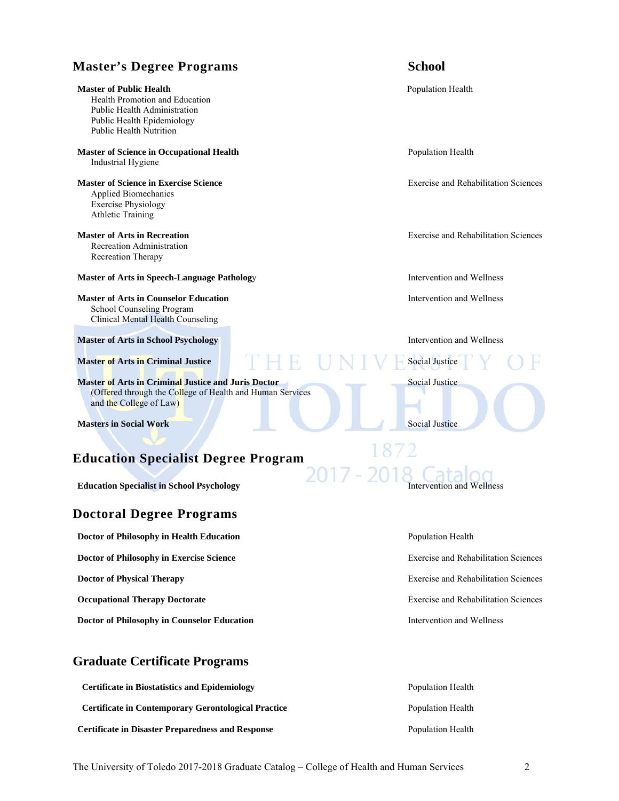# **Master's Degree Programs School Master of Public Health Population Health Population Health Population Health** Health Promotion and Education Public Health Administration Public Health Epidemiology Public Health Nutrition **Master of Science in Occupational Health Population Health Population Health Population Health Population Health Population Health Population Health Population Health Population Health** Industrial Hygiene **Master of Science in Exercise Science Exercise and Rehabilitation Sciences Exercise and Rehabilitation Sciences**  Applied Biomechanics Exercise Physiology Athletic Training **Master of Arts in Recreation Exercise and Rehabilitation Sciences Exercise and Rehabilitation Sciences**  Recreation Administration Recreation Therapy **Master of Arts in Speech-Language Pathology Figure 1.1 September 2016 10:53 Intervention and Wellness Master of Arts in Counselor Education Intervention and Wellness Intervention and Wellness** School Counseling Program Clinical Mental Health Counseling **Master of Arts in School Psychology <b>Intervention and Wellness** *Intervention and Wellness* **Master of Arts in Criminal Justice <b>Social Justice Social Justice** Social Justice **Master of Arts in Criminal Justice and Juris Doctor Social Justice Social Justice Social Justice**  (Offered through the College of Health and Human Services and the College of Law) **Masters in Social Work Social Justice And Accord Justice** Social Justice **Education Specialist Degree Program**

**Education Specialist in School Psychology Intervention and Wellness Intervention and Wellness** 

# **Doctoral Degree Programs**

**Doctor of Philosophy in Health Education <b>Population** Population Health

**Doctor of Philosophy in Exercise Science** Exercise and Rehabilitation Sciences

**Occupational Therapy Doctorate Exercise and Rehabilitation Sciences Exercise and Rehabilitation Sciences** 

**Doctor of Philosophy in Counselor Education Intervention and Wellness Intervention and Wellness** 

# **Graduate Certificate Programs**

| <b>Certificate in Biostatistics and Epidemiology</b>       | Population Health |
|------------------------------------------------------------|-------------------|
| <b>Certificate in Contemporary Gerontological Practice</b> | Population Health |
| <b>Certificate in Disaster Preparedness and Response</b>   | Population Health |

**Doctor of Physical Therapy Exercise and Rehabilitation Sciences Exercise and Rehabilitation Sciences**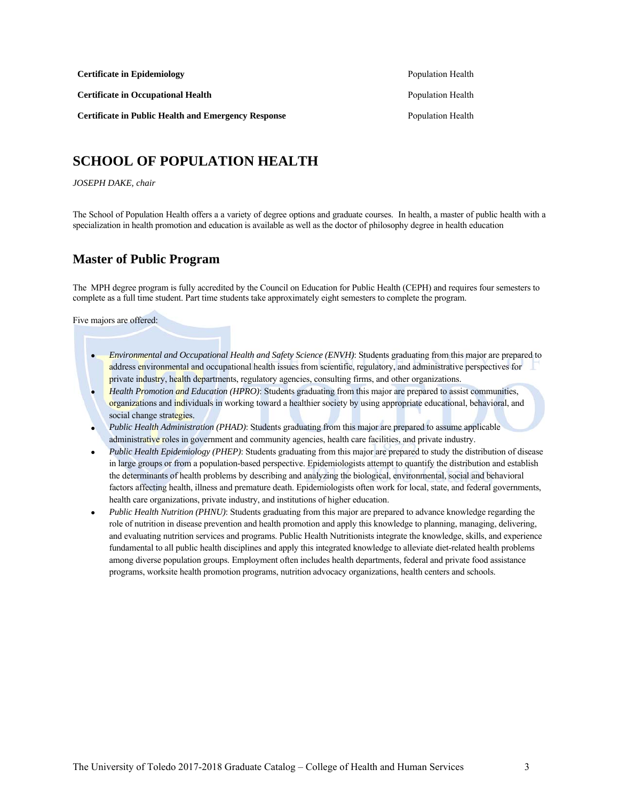**Certificate in Epidemiology Population Health** Population Health

**Certificate in Occupational Health Population Health Population Health Population Health** 

**Certificate in Public Health and Emergency Response** Population Health Population Health

**SCHOOL OF POPULATION HEALTH**

#### *JOSEPH DAKE, chair*

The School of Population Health offers a a variety of degree options and graduate courses. In health, a master of public health with a specialization in health promotion and education is available as well as the doctor of philosophy degree in health education

## **Master of Public Program**

The MPH degree program is fully accredited by the Council on Education for Public Health (CEPH) and requires four semesters to complete as a full time student. Part time students take approximately eight semesters to complete the program.

Five majors are offered:

- *Environmental and Occupational Health and Safety Science (ENVH)*: Students graduating from this major are prepared to address environmental and occupational health issues from scientific, regulatory, and administrative perspectives for private industry, health departments, regulatory agencies, consulting firms, and other organizations.
- *Health Promotion and Education (HPRO)*: Students graduating from this major are prepared to assist communities, organizations and individuals in working toward a healthier society by using appropriate educational, behavioral, and social change strategies.
- *Public Health Administration (PHAD)*: Students graduating from this major are prepared to assume applicable administrative roles in government and community agencies, health care facilities, and private industry.
- *Public Health Epidemiology (PHEP)*: Students graduating from this major are prepared to study the distribution of disease in large groups or from a population-based perspective. Epidemiologists attempt to quantify the distribution and establish the determinants of health problems by describing and analyzing the biological, environmental, social and behavioral factors affecting health, illness and premature death. Epidemiologists often work for local, state, and federal governments, health care organizations, private industry, and institutions of higher education.
- *Public Health Nutrition (PHNU)*: Students graduating from this major are prepared to advance knowledge regarding the role of nutrition in disease prevention and health promotion and apply this knowledge to planning, managing, delivering, and evaluating nutrition services and programs. Public Health Nutritionists integrate the knowledge, skills, and experience fundamental to all public health disciplines and apply this integrated knowledge to alleviate diet-related health problems among diverse population groups. Employment often includes health departments, federal and private food assistance programs, worksite health promotion programs, nutrition advocacy organizations, health centers and schools.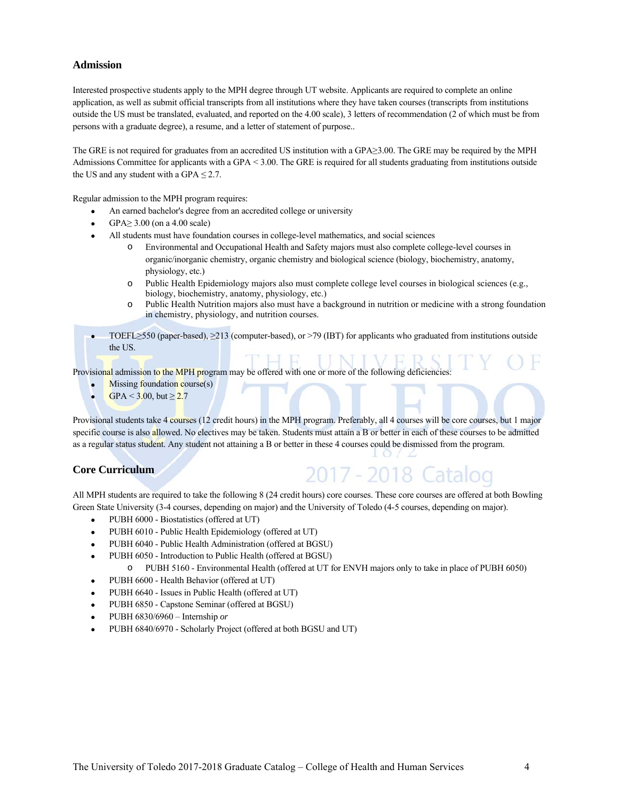## **Admission**

Interested prospective students apply to the MPH degree through UT website. Applicants are required to complete an online application, as well as submit official transcripts from all institutions where they have taken courses (transcripts from institutions outside the US must be translated, evaluated, and reported on the 4.00 scale), 3 letters of recommendation (2 of which must be from persons with a graduate degree), a resume, and a letter of statement of purpose..

The GRE is not required for graduates from an accredited US institution with a GPA≥3.00. The GRE may be required by the MPH Admissions Committee for applicants with a GPA < 3.00. The GRE is required for all students graduating from institutions outside the US and any student with a GPA  $\leq$  2.7.

Regular admission to the MPH program requires:

- An earned bachelor's degree from an accredited college or university
- GPA≥ 3.00 (on a 4.00 scale)
- All students must have foundation courses in college-level mathematics, and social sciences
	- o Environmental and Occupational Health and Safety majors must also complete college-level courses in organic/inorganic chemistry, organic chemistry and biological science (biology, biochemistry, anatomy, physiology, etc.)
	- o Public Health Epidemiology majors also must complete college level courses in biological sciences (e.g., biology, biochemistry, anatomy, physiology, etc.)
	- o Public Health Nutrition majors also must have a background in nutrition or medicine with a strong foundation in chemistry, physiology, and nutrition courses.
- TOEFL≥550 (paper-based), ≥213 (computer-based), or >79 (IBT) for applicants who graduated from institutions outside the US.

Provisional admission to the MPH program may be offered with one or more of the following deficiencies:

- Missing foundation course(s)
- $GPA < 3.00$ , but  $\ge 2.7$

Provisional students take 4 courses (12 credit hours) in the MPH program. Preferably, all 4 courses will be core courses, but 1 major specific course is also allowed. No electives may be taken. Students must attain a B or better in each of these courses to be admitted as a regular status student. Any student not attaining a B or better in these 4 courses could be dismissed from the program.

## **Core Curriculum**

# 2017 - 2018 Catal

All MPH students are required to take the following 8 (24 credit hours) core courses. These core courses are offered at both Bowling Green State University (3-4 courses, depending on major) and the University of Toledo (4-5 courses, depending on major).

- PUBH 6000 Biostatistics (offered at UT)
- PUBH 6010 Public Health Epidemiology (offered at UT)
- PUBH 6040 Public Health Administration (offered at BGSU)
- PUBH 6050 Introduction to Public Health (offered at BGSU)
	- o PUBH 5160 Environmental Health (offered at UT for ENVH majors only to take in place of PUBH 6050)
- PUBH 6600 Health Behavior (offered at UT)
- PUBH 6640 Issues in Public Health (offered at UT)
- PUBH 6850 Capstone Seminar (offered at BGSU)
- PUBH 6830/6960 Internship *or*
- PUBH 6840/6970 Scholarly Project (offered at both BGSU and UT)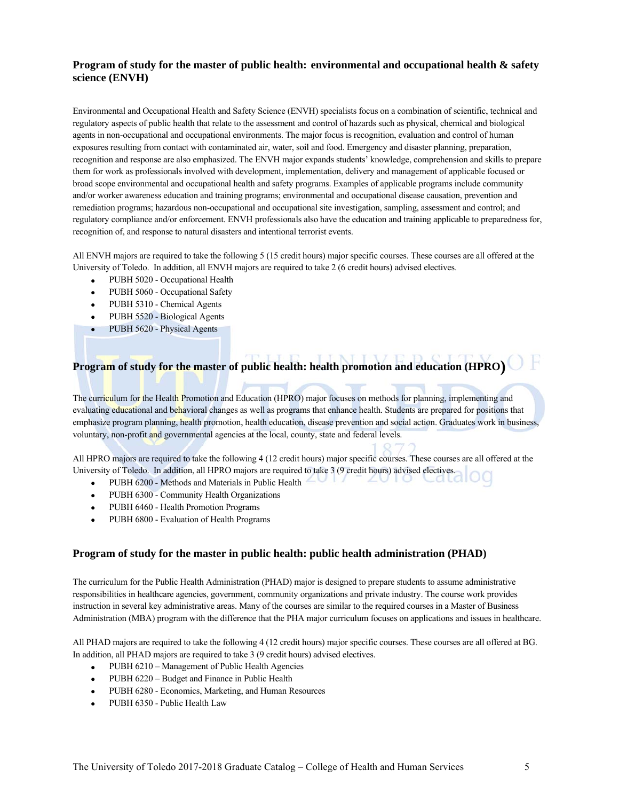## **Program of study for the master of public health: environmental and occupational health & safety science (ENVH)**

Environmental and Occupational Health and Safety Science (ENVH) specialists focus on a combination of scientific, technical and regulatory aspects of public health that relate to the assessment and control of hazards such as physical, chemical and biological agents in non-occupational and occupational environments. The major focus is recognition, evaluation and control of human exposures resulting from contact with contaminated air, water, soil and food. Emergency and disaster planning, preparation, recognition and response are also emphasized. The ENVH major expands students' knowledge, comprehension and skills to prepare them for work as professionals involved with development, implementation, delivery and management of applicable focused or broad scope environmental and occupational health and safety programs. Examples of applicable programs include community and/or worker awareness education and training programs; environmental and occupational disease causation, prevention and remediation programs; hazardous non-occupational and occupational site investigation, sampling, assessment and control; and regulatory compliance and/or enforcement. ENVH professionals also have the education and training applicable to preparedness for, recognition of, and response to natural disasters and intentional terrorist events.

All ENVH majors are required to take the following 5 (15 credit hours) major specific courses. These courses are all offered at the University of Toledo. In addition, all ENVH majors are required to take 2 (6 credit hours) advised electives.

- PUBH 5020 Occupational Health
- PUBH 5060 Occupational Safety
- PUBH 5310 Chemical Agents
- PUBH 5520 Biological Agents
- PUBH 5620 Physical Agents

# **Program of study for the master of public health: health promotion and education (HPRO)**

The curriculum for the Health Promotion and Education (HPRO) major focuses on methods for planning, implementing and evaluating educational and behavioral changes as well as programs that enhance health. Students are prepared for positions that emphasize program planning, health promotion, health education, disease prevention and social action. Graduates work in business, voluntary, non-profit and governmental agencies at the local, county, state and federal levels.

All HPRO majors are required to take the following 4 (12 credit hours) major specific courses. These courses are all offered at the University of Toledo. In addition, all HPRO majors are required to take 3 (9 credit hours) advised electives.

- PUBH 6200 Methods and Materials in Public Health
- PUBH 6300 Community Health Organizations
- PUBH 6460 Health Promotion Programs
- PUBH 6800 Evaluation of Health Programs

## **Program of study for the master in public health: public health administration (PHAD)**

The curriculum for the Public Health Administration (PHAD) major is designed to prepare students to assume administrative responsibilities in healthcare agencies, government, community organizations and private industry. The course work provides instruction in several key administrative areas. Many of the courses are similar to the required courses in a Master of Business Administration (MBA) program with the difference that the PHA major curriculum focuses on applications and issues in healthcare.

All PHAD majors are required to take the following 4 (12 credit hours) major specific courses. These courses are all offered at BG. In addition, all PHAD majors are required to take 3 (9 credit hours) advised electives.

- PUBH 6210 Management of Public Health Agencies
- PUBH 6220 Budget and Finance in Public Health
- PUBH 6280 Economics, Marketing, and Human Resources
- PUBH 6350 Public Health Law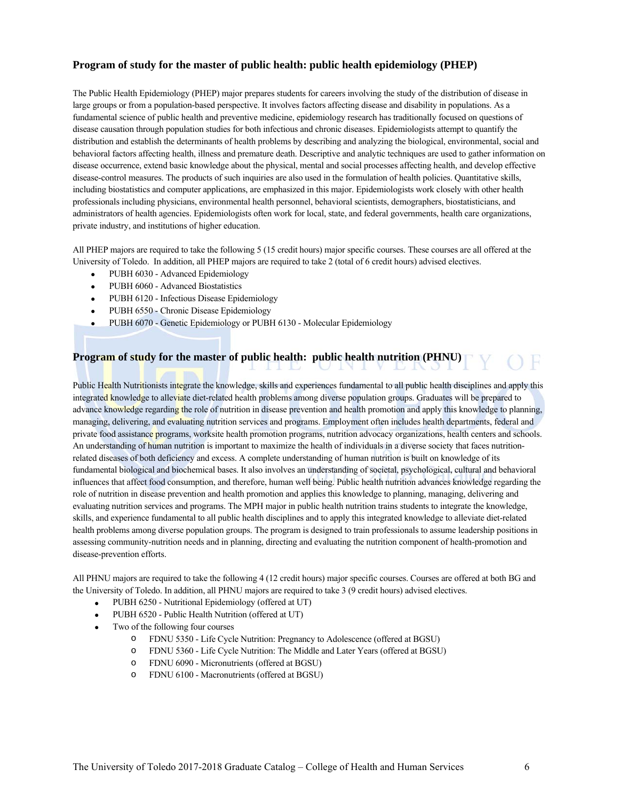## **Program of study for the master of public health: public health epidemiology (PHEP)**

The Public Health Epidemiology (PHEP) major prepares students for careers involving the study of the distribution of disease in large groups or from a population-based perspective. It involves factors affecting disease and disability in populations. As a fundamental science of public health and preventive medicine, epidemiology research has traditionally focused on questions of disease causation through population studies for both infectious and chronic diseases. Epidemiologists attempt to quantify the distribution and establish the determinants of health problems by describing and analyzing the biological, environmental, social and behavioral factors affecting health, illness and premature death. Descriptive and analytic techniques are used to gather information on disease occurrence, extend basic knowledge about the physical, mental and social processes affecting health, and develop effective disease-control measures. The products of such inquiries are also used in the formulation of health policies. Quantitative skills, including biostatistics and computer applications, are emphasized in this major. Epidemiologists work closely with other health professionals including physicians, environmental health personnel, behavioral scientists, demographers, biostatisticians, and administrators of health agencies. Epidemiologists often work for local, state, and federal governments, health care organizations, private industry, and institutions of higher education.

All PHEP majors are required to take the following 5 (15 credit hours) major specific courses. These courses are all offered at the University of Toledo. In addition, all PHEP majors are required to take 2 (total of 6 credit hours) advised electives.

- PUBH 6030 Advanced Epidemiology
- PUBH 6060 Advanced Biostatistics
- PUBH 6120 Infectious Disease Epidemiology
- PUBH 6550 Chronic Disease Epidemiology
- PUBH 6070 Genetic Epidemiology or PUBH 6130 Molecular Epidemiology

# **Program of study for the master of public health: public health nutrition (PHNU)**

Public Health Nutritionists integrate the knowledge, skills and experiences fundamental to all public health disciplines and apply this integrated knowledge to alleviate diet-related health problems among diverse population groups. Graduates will be prepared to advance knowledge regarding the role of nutrition in disease prevention and health promotion and apply this knowledge to planning, managing, delivering, and evaluating nutrition services and programs. Employment often includes health departments, federal and private food assistance programs, worksite health promotion programs, nutrition advocacy organizations, health centers and schools. An understanding of human nutrition is important to maximize the health of individuals in a diverse society that faces nutritionrelated diseases of both deficiency and excess. A complete understanding of human nutrition is built on knowledge of its fundamental biological and biochemical bases. It also involves an understanding of societal, psychological, cultural and behavioral influences that affect food consumption, and therefore, human well being. Public health nutrition advances knowledge regarding the role of nutrition in disease prevention and health promotion and applies this knowledge to planning, managing, delivering and evaluating nutrition services and programs. The MPH major in public health nutrition trains students to integrate the knowledge, skills, and experience fundamental to all public health disciplines and to apply this integrated knowledge to alleviate diet-related health problems among diverse population groups. The program is designed to train professionals to assume leadership positions in assessing community-nutrition needs and in planning, directing and evaluating the nutrition component of health-promotion and disease-prevention efforts.

All PHNU majors are required to take the following 4 (12 credit hours) major specific courses. Courses are offered at both BG and the University of Toledo. In addition, all PHNU majors are required to take 3 (9 credit hours) advised electives.

- PUBH 6250 Nutritional Epidemiology (offered at UT)
- PUBH 6520 Public Health Nutrition (offered at UT)
- Two of the following four courses
	- o FDNU 5350 Life Cycle Nutrition: Pregnancy to Adolescence (offered at BGSU)
	- o FDNU 5360 Life Cycle Nutrition: The Middle and Later Years (offered at BGSU)
	- o FDNU 6090 Micronutrients (offered at BGSU)
	- o FDNU 6100 Macronutrients (offered at BGSU)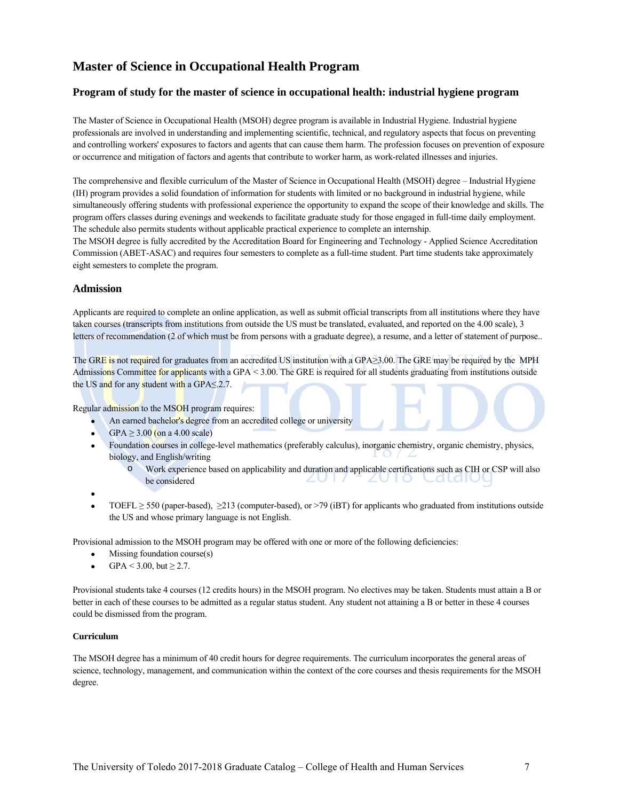# **Master of Science in Occupational Health Program**

## **Program of study for the master of science in occupational health: industrial hygiene program**

The Master of Science in Occupational Health (MSOH) degree program is available in Industrial Hygiene. Industrial hygiene professionals are involved in understanding and implementing scientific, technical, and regulatory aspects that focus on preventing and controlling workers' exposures to factors and agents that can cause them harm. The profession focuses on prevention of exposure or occurrence and mitigation of factors and agents that contribute to worker harm, as work-related illnesses and injuries.

The comprehensive and flexible curriculum of the Master of Science in Occupational Health (MSOH) degree – Industrial Hygiene (IH) program provides a solid foundation of information for students with limited or no background in industrial hygiene, while simultaneously offering students with professional experience the opportunity to expand the scope of their knowledge and skills. The program offers classes during evenings and weekends to facilitate graduate study for those engaged in full-time daily employment. The schedule also permits students without applicable practical experience to complete an internship.

The MSOH degree is fully accredited by the Accreditation Board for Engineering and Technology - Applied Science Accreditation Commission (ABET-ASAC) and requires four semesters to complete as a full-time student. Part time students take approximately eight semesters to complete the program.

## **Admission**

Applicants are required to complete an online application, as well as submit official transcripts from all institutions where they have taken courses (transcripts from institutions from outside the US must be translated, evaluated, and reported on the 4.00 scale), 3 letters of recommendation (2 of which must be from persons with a graduate degree), a resume, and a letter of statement of purpose..

The GRE is not required for graduates from an accredited US institution with a GPA≥3.00. The GRE may be required by the MPH Admissions Committee for applicants with a GPA < 3.00. The GRE is required for all students graduating from institutions outside the US and for any student with a GPA≤.2.7.

Regular admission to the MSOH program requires:

- An earned bachelor's degree from an accredited college or university
- GPA  $\geq$  3.00 (on a 4.00 scale)
- Foundation courses in college-level mathematics (preferably calculus), inorganic chemistry, organic chemistry, physics, biology, and English/writing
	- o Work experience based on applicability and duration and applicable certifications such as CIH or CSP will also be considered  $2011$  $2010$ Catalo
- $\bullet$
- TOEFL  $\geq$  550 (paper-based),  $\geq$ 213 (computer-based), or >79 (iBT) for applicants who graduated from institutions outside the US and whose primary language is not English.

Provisional admission to the MSOH program may be offered with one or more of the following deficiencies:

- $\bullet$  Missing foundation course(s)
- GPA < 3.00, but  $\geq$  2.7.

Provisional students take 4 courses (12 credits hours) in the MSOH program. No electives may be taken. Students must attain a B or better in each of these courses to be admitted as a regular status student. Any student not attaining a B or better in these 4 courses could be dismissed from the program.

#### **Curriculum**

The MSOH degree has a minimum of 40 credit hours for degree requirements. The curriculum incorporates the general areas of science, technology, management, and communication within the context of the core courses and thesis requirements for the MSOH degree.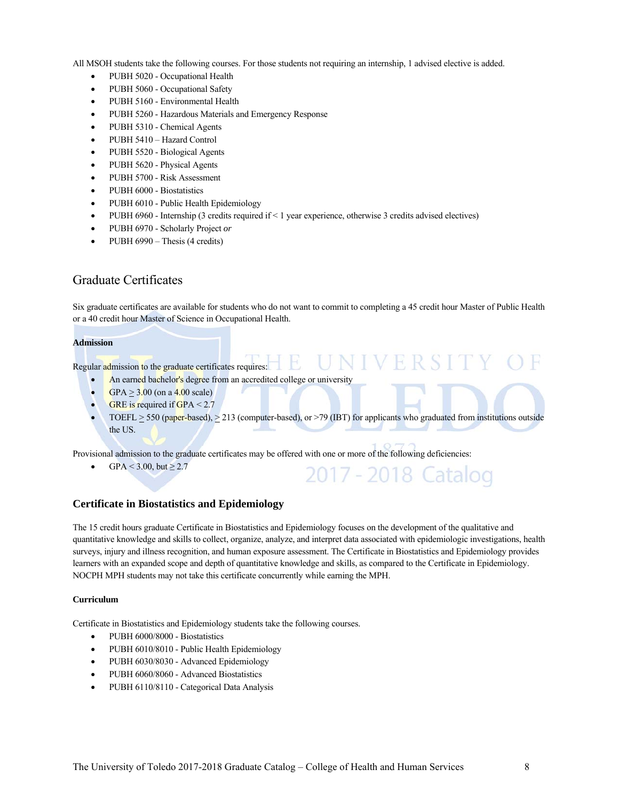All MSOH students take the following courses. For those students not requiring an internship, 1 advised elective is added.

- PUBH 5020 Occupational Health
- PUBH 5060 Occupational Safety
- PUBH 5160 Environmental Health
- PUBH 5260 Hazardous Materials and Emergency Response
- PUBH 5310 Chemical Agents
- PUBH 5410 Hazard Control
- PUBH 5520 Biological Agents
- PUBH 5620 Physical Agents
- PUBH 5700 Risk Assessment
- PUBH 6000 Biostatistics
- PUBH 6010 Public Health Epidemiology
- PUBH 6960 Internship (3 credits required if < 1 year experience, otherwise 3 credits advised electives)
- PUBH 6970 Scholarly Project *or*
- PUBH  $6990$  Thesis (4 credits)

## Graduate Certificates

Six graduate certificates are available for students who do not want to commit to completing a 45 credit hour Master of Public Health or a 40 credit hour Master of Science in Occupational Health.

#### **Admission**

Regular admission to the graduate certificates requires:  $\mathbb{H}$ 

- An earned bachelor's degree from an accredited college or university
	- $GPA > 3.00$  (on a 4.00 scale)
	- GRE is required if GPA  $< 2.7$
	- TOEFL  $\geq$  550 (paper-based),  $\geq$  213 (computer-based), or >79 (IBT) for applicants who graduated from institutions outside the US.

UNIVERSIT

2017 - 2018 Catalog

Provisional admission to the graduate certificates may be offered with one or more of the following deficiencies:

 $\bullet$  GPA < 3.00, but ≥ 2.7

#### **Certificate in Biostatistics and Epidemiology**

The 15 credit hours graduate Certificate in Biostatistics and Epidemiology focuses on the development of the qualitative and quantitative knowledge and skills to collect, organize, analyze, and interpret data associated with epidemiologic investigations, health surveys, injury and illness recognition, and human exposure assessment. The Certificate in Biostatistics and Epidemiology provides learners with an expanded scope and depth of quantitative knowledge and skills, as compared to the Certificate in Epidemiology. NOCPH MPH students may not take this certificate concurrently while earning the MPH.

#### **Curriculum**

Certificate in Biostatistics and Epidemiology students take the following courses.

- PUBH 6000/8000 Biostatistics
- PUBH 6010/8010 Public Health Epidemiology
- PUBH 6030/8030 Advanced Epidemiology
- PUBH 6060/8060 Advanced Biostatistics
- PUBH 6110/8110 Categorical Data Analysis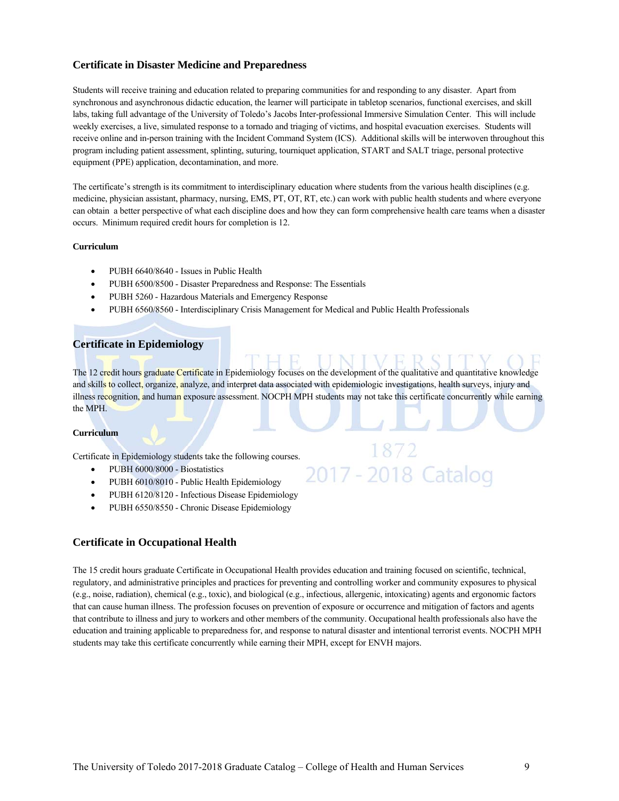## **Certificate in Disaster Medicine and Preparedness**

Students will receive training and education related to preparing communities for and responding to any disaster. Apart from synchronous and asynchronous didactic education, the learner will participate in tabletop scenarios, functional exercises, and skill labs, taking full advantage of the University of Toledo's Jacobs Inter-professional Immersive Simulation Center. This will include weekly exercises, a live, simulated response to a tornado and triaging of victims, and hospital evacuation exercises. Students will receive online and in-person training with the Incident Command System (ICS). Additional skills will be interwoven throughout this program including patient assessment, splinting, suturing, tourniquet application, START and SALT triage, personal protective equipment (PPE) application, decontamination, and more.

The certificate's strength is its commitment to interdisciplinary education where students from the various health disciplines (e.g. medicine, physician assistant, pharmacy, nursing, EMS, PT, OT, RT, etc.) can work with public health students and where everyone can obtain a better perspective of what each discipline does and how they can form comprehensive health care teams when a disaster occurs. Minimum required credit hours for completion is 12.

#### **Curriculum**

- PUBH 6640/8640 Issues in Public Health
- PUBH 6500/8500 Disaster Preparedness and Response: The Essentials
- PUBH 5260 Hazardous Materials and Emergency Response
- PUBH 6560/8560 Interdisciplinary Crisis Management for Medical and Public Health Professionals

#### **Certificate in Epidemiology**

The 12 credit hours graduate Certificate in Epidemiology focuses on the development of the qualitative and quantitative knowledge and skills to collect, organize, analyze, and interpret data associated with epidemiologic investigations, health surveys, injury and illness recognition, and human exposure assessment. NOCPH MPH students may not take this certificate concurrently while earning the MPH.

2017 - 2018 Catalog

#### **Curriculum**

Certificate in Epidemiology students take the following courses.

- PUBH 6000/8000 Biostatistics
- PUBH 6010/8010 Public Health Epidemiology
- PUBH 6120/8120 Infectious Disease Epidemiology
- PUBH 6550/8550 Chronic Disease Epidemiology

## **Certificate in Occupational Health**

The 15 credit hours graduate Certificate in Occupational Health provides education and training focused on scientific, technical, regulatory, and administrative principles and practices for preventing and controlling worker and community exposures to physical (e.g., noise, radiation), chemical (e.g., toxic), and biological (e.g., infectious, allergenic, intoxicating) agents and ergonomic factors that can cause human illness. The profession focuses on prevention of exposure or occurrence and mitigation of factors and agents that contribute to illness and jury to workers and other members of the community. Occupational health professionals also have the education and training applicable to preparedness for, and response to natural disaster and intentional terrorist events. NOCPH MPH students may take this certificate concurrently while earning their MPH, except for ENVH majors.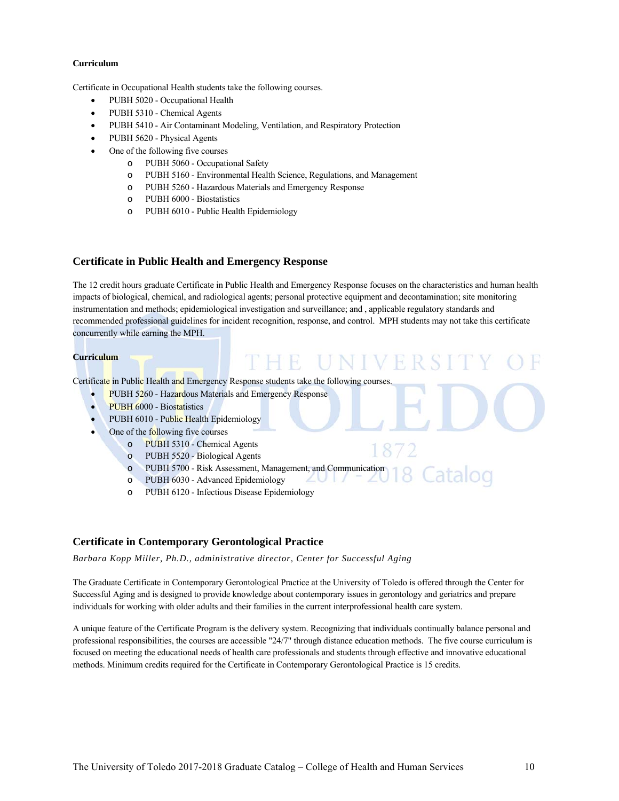#### **Curriculum**

Certificate in Occupational Health students take the following courses.

- PUBH 5020 Occupational Health
- PUBH 5310 Chemical Agents
- PUBH 5410 Air Contaminant Modeling, Ventilation, and Respiratory Protection
- PUBH 5620 Physical Agents
- One of the following five courses
	- o PUBH 5060 Occupational Safety
	- o PUBH 5160 Environmental Health Science, Regulations, and Management
	- o PUBH 5260 Hazardous Materials and Emergency Response
	- o PUBH 6000 Biostatistics
	- o PUBH 6010 Public Health Epidemiology

#### **Certificate in Public Health and Emergency Response**

The 12 credit hours graduate Certificate in Public Health and Emergency Response focuses on the characteristics and human health impacts of biological, chemical, and radiological agents; personal protective equipment and decontamination; site monitoring instrumentation and methods; epidemiological investigation and surveillance; and , applicable regulatory standards and recommended professional guidelines for incident recognition, response, and control. MPH students may not take this certificate concurrently while earning the MPH.

THE UNIVE

#### **Curriculum**

Certificate in Public Health and Emergency Response students take the following courses.

- PUBH 5260 Hazardous Materials and Emergency Response
- PUBH 6000 Biostatistics
- PUBH 6010 Public Health Epidemiology
- One of the following five courses
	- o PUBH 5310 Chemical Agents
	- o PUBH 5520 Biological Agents
	- o PUBH 5700 Risk Assessment, Management, and Communication

 $2011$ 

- o PUBH 6030 Advanced Epidemiology
- o PUBH 6120 Infectious Disease Epidemiology

#### **Certificate in Contemporary Gerontological Practice**

*Barbara Kopp Miller, Ph.D., administrative director, Center for Successful Aging* 

The Graduate Certificate in Contemporary Gerontological Practice at the University of Toledo is offered through the Center for Successful Aging and is designed to provide knowledge about contemporary issues in gerontology and geriatrics and prepare individuals for working with older adults and their families in the current interprofessional health care system.

A unique feature of the Certificate Program is the delivery system. Recognizing that individuals continually balance personal and professional responsibilities, the courses are accessible "24/7" through distance education methods. The five course curriculum is focused on meeting the educational needs of health care professionals and students through effective and innovative educational methods. Minimum credits required for the Certificate in Contemporary Gerontological Practice is 15 credits.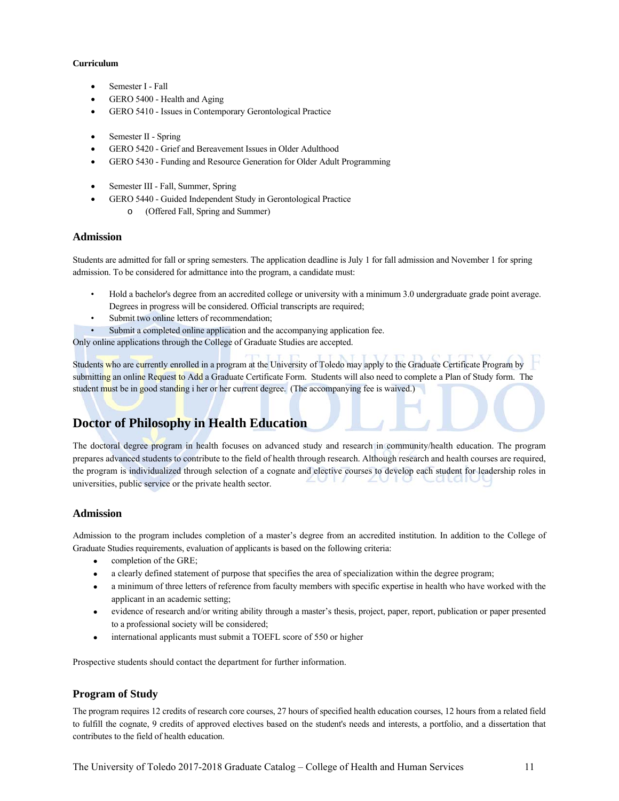#### **Curriculum**

- Semester I Fall
- GERO 5400 Health and Aging
- GERO 5410 Issues in Contemporary Gerontological Practice
- Semester II Spring
- GERO 5420 Grief and Bereavement Issues in Older Adulthood
- GERO 5430 Funding and Resource Generation for Older Adult Programming
- Semester III Fall, Summer, Spring
- GERO 5440 Guided Independent Study in Gerontological Practice o (Offered Fall, Spring and Summer)

#### **Admission**

Students are admitted for fall or spring semesters. The application deadline is July 1 for fall admission and November 1 for spring admission. To be considered for admittance into the program, a candidate must:

- Hold a bachelor's degree from an accredited college or university with a minimum 3.0 undergraduate grade point average. Degrees in progress will be considered. Official transcripts are required;
- Submit two online letters of recommendation;
- Submit a completed online application and the accompanying application fee.

Only online applications through the College of Graduate Studies are accepted.

Students who are currently enrolled in a program at the University of Toledo may apply to the Graduate Certificate Program by submitting an online Request to Add a Graduate Certificate Form. Students will also need to complete a Plan of Study form. The student must be in good standing i her or her current degree. (The accompanying fee is waived.)

## **Doctor of Philosophy in Health Education**

The doctoral degree program in health focuses on advanced study and research in community/health education. The program prepares advanced students to contribute to the field of health through research. Although research and health courses are required, the program is individualized through selection of a cognate and elective courses to develop each student for leadership roles in universities, public service or the private health sector.

## **Admission**

Admission to the program includes completion of a master's degree from an accredited institution. In addition to the College of Graduate Studies requirements, evaluation of applicants is based on the following criteria:

- completion of the GRE;
- a clearly defined statement of purpose that specifies the area of specialization within the degree program;
- a minimum of three letters of reference from faculty members with specific expertise in health who have worked with the applicant in an academic setting;
- evidence of research and/or writing ability through a master's thesis, project, paper, report, publication or paper presented to a professional society will be considered;
- international applicants must submit a TOEFL score of 550 or higher

Prospective students should contact the department for further information.

## **Program of Study**

The program requires 12 credits of research core courses, 27 hours of specified health education courses, 12 hours from a related field to fulfill the cognate, 9 credits of approved electives based on the student's needs and interests, a portfolio, and a dissertation that contributes to the field of health education.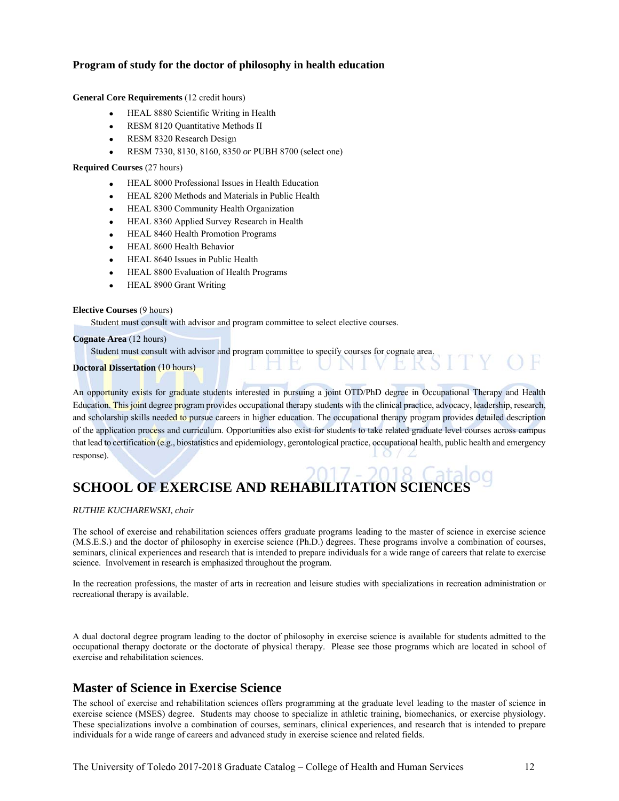## **Program of study for the doctor of philosophy in health education**

#### **General Core Requirements** (12 credit hours)

- HEAL 8880 Scientific Writing in Health
- RESM 8120 Quantitative Methods II
- RESM 8320 Research Design
- RESM 7330, 8130, 8160, 8350 *or* PUBH 8700 (select one)

#### **Required Courses** (27 hours)

- HEAL 8000 Professional Issues in Health Education
- HEAL 8200 Methods and Materials in Public Health
- HEAL 8300 Community Health Organization
- HEAL 8360 Applied Survey Research in Health
- HEAL 8460 Health Promotion Programs
- HEAL 8600 Health Behavior
- HEAL 8640 Issues in Public Health
- HEAL 8800 Evaluation of Health Programs
- HEAL 8900 Grant Writing

#### **Elective Courses** (9 hours)

Student must consult with advisor and program committee to select elective courses.

#### **Cognate Area** (12 hours)

Student must consult with advisor and program committee to specify courses for cognate area.

#### **Doctoral Dissertation** (10 hours)

An opportunity exists for graduate students interested in pursuing a joint OTD/PhD degree in Occupational Therapy and Health Education. This joint degree program provides occupational therapy students with the clinical practice, advocacy, leadership, research, and scholarship skills needed to pursue careers in higher education. The occupational therapy program provides detailed description of the application process and curriculum. Opportunities also exist for students to take related graduate level courses across campus that lead to certification (e.g., biostatistics and epidemiology, gerontological practice, occupational health, public health and emergency response).

# **SCHOOL OF EXERCISE AND REHABILITATION SCIENCES**

*RUTHIE KUCHAREWSKI, chair* 

The school of exercise and rehabilitation sciences offers graduate programs leading to the master of science in exercise science (M.S.E.S.) and the doctor of philosophy in exercise science (Ph.D.) degrees. These programs involve a combination of courses, seminars, clinical experiences and research that is intended to prepare individuals for a wide range of careers that relate to exercise science. Involvement in research is emphasized throughout the program.

In the recreation professions, the master of arts in recreation and leisure studies with specializations in recreation administration or recreational therapy is available.

A dual doctoral degree program leading to the doctor of philosophy in exercise science is available for students admitted to the occupational therapy doctorate or the doctorate of physical therapy. Please see those programs which are located in school of exercise and rehabilitation sciences.

## **Master of Science in Exercise Science**

The school of exercise and rehabilitation sciences offers programming at the graduate level leading to the master of science in exercise science (MSES) degree. Students may choose to specialize in athletic training, biomechanics, or exercise physiology. These specializations involve a combination of courses, seminars, clinical experiences, and research that is intended to prepare individuals for a wide range of careers and advanced study in exercise science and related fields.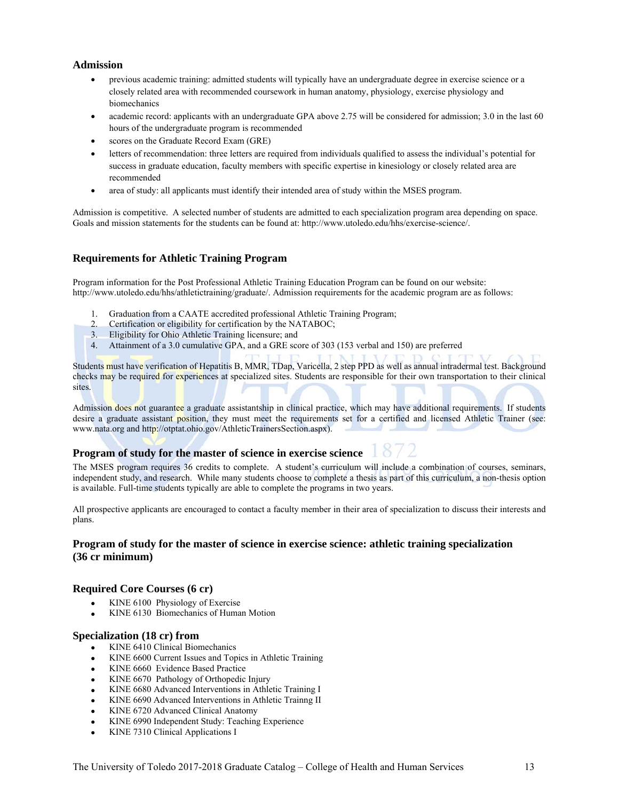## **Admission**

- previous academic training: admitted students will typically have an undergraduate degree in exercise science or a closely related area with recommended coursework in human anatomy, physiology, exercise physiology and biomechanics
- academic record: applicants with an undergraduate GPA above 2.75 will be considered for admission; 3.0 in the last 60 hours of the undergraduate program is recommended
- scores on the Graduate Record Exam (GRE)
- letters of recommendation: three letters are required from individuals qualified to assess the individual's potential for success in graduate education, faculty members with specific expertise in kinesiology or closely related area are recommended
- area of study: all applicants must identify their intended area of study within the MSES program.

Admission is competitive. A selected number of students are admitted to each specialization program area depending on space. Goals and mission statements for the students can be found at: http://www.utoledo.edu/hhs/exercise-science/.

## **Requirements for Athletic Training Program**

Program information for the Post Professional Athletic Training Education Program can be found on our website: http://www.utoledo.edu/hhs/athletictraining/graduate/. Admission requirements for the academic program are as follows:

- 1. Graduation from a CAATE accredited professional Athletic Training Program;
- 2. Certification or eligibility for certification by the NATABOC;
- 3. Eligibility for Ohio Athletic Training licensure; and
- 4. Attainment of a 3.0 cumulative GPA, and a GRE score of 303 (153 verbal and 150) are preferred

Students must have verification of Hepatitis B, MMR, TDap, Varicella, 2 step PPD as well as annual intradermal test. Background checks may be required for experiences at specialized sites. Students are responsible for their own transportation to their clinical sites.

Admission does not guarantee a graduate assistantship in clinical practice, which may have additional requirements. If students desire a graduate assistant position, they must meet the requirements set for a certified and licensed Athletic Trainer (see: www.nata.org and http://otptat.ohio.gov/AthleticTrainersSection.aspx).

## **Program of study for the master of science in exercise science**

The MSES program requires 36 credits to complete. A student's curriculum will include a combination of courses, seminars, independent study, and research. While many students choose to complete a thesis as part of this curriculum, a non-thesis option is available. Full-time students typically are able to complete the programs in two years.

All prospective applicants are encouraged to contact a faculty member in their area of specialization to discuss their interests and plans.

## **Program of study for the master of science in exercise science: athletic training specialization (36 cr minimum)**

## **Required Core Courses (6 cr)**

- KINE 6100 Physiology of Exercise
- KINE 6130 Biomechanics of Human Motion

#### **Specialization (18 cr) from**

- KINE 6410 Clinical Biomechanics
- KINE 6600 Current Issues and Topics in Athletic Training
- KINE 6660 Evidence Based Practice
- KINE 6670 Pathology of Orthopedic Injury
- KINE 6680 Advanced Interventions in Athletic Training I
- KINE 6690 Advanced Interventions in Athletic Trainng II
- KINE 6720 Advanced Clinical Anatomy
- KINE 6990 Independent Study: Teaching Experience
- KINE 7310 Clinical Applications I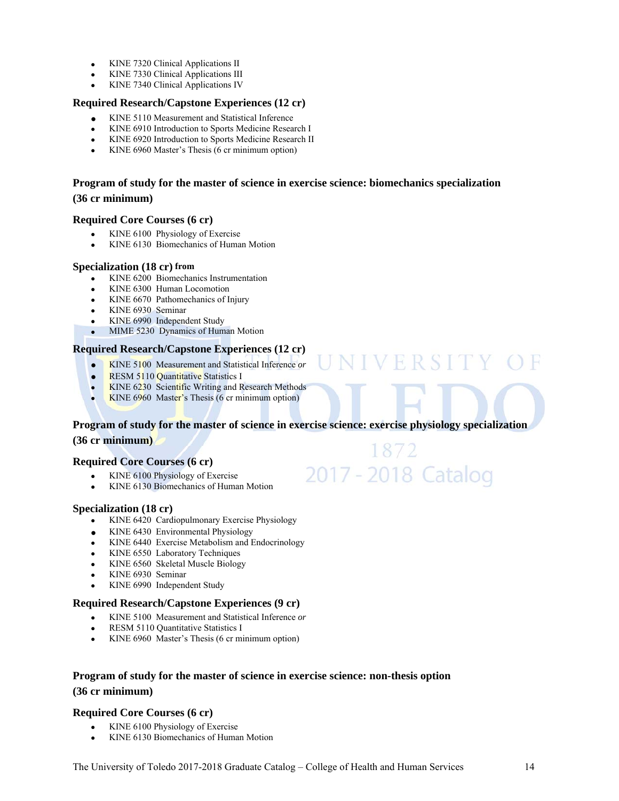- $\bullet$  KINE 7320 Clinical Applications II
- KINE 7330 Clinical Applications III
- KINE 7340 Clinical Applications IV

## **Required Research/Capstone Experiences (12 cr)**

- KINE 5110 Measurement and Statistical Inference
- KINE 6910 Introduction to Sports Medicine Research I
- KINE 6920 Introduction to Sports Medicine Research II
- KINE 6960 Master's Thesis (6 cr minimum option)

## **Program of study for the master of science in exercise science: biomechanics specialization (36 cr minimum)**

#### **Required Core Courses (6 cr)**

- KINE 6100 Physiology of Exercise
- KINE 6130 Biomechanics of Human Motion

#### **Specialization (18 cr) from**

- KINE 6200 Biomechanics Instrumentation
- KINE 6300 Human Locomotion
- KINE 6670 Pathomechanics of Injury
- KINE 6930 Seminar
- KINE 6990 Independent Study
- MIME 5230 Dynamics of Human Motion

## **Required Research/Capstone Experiences (12 cr)**

- KINE 5100 Measurement and Statistical Inference *or*
- RESM 5110 Quantitative Statistics I
- KINE 6230 Scientific Writing and Research Methods
- KINE 6960 Master's Thesis (6 cr minimum option)

# **Program of study for the master of science in exercise science: exercise physiology specialization**

VIVERSITY

1872

2017 - 2018 Catalog

## **(36 cr minimum)**

## **Required Core Courses (6 cr)**

- KINE 6100 Physiology of Exercise
- KINE 6130 Biomechanics of Human Motion

## **Specialization (18 cr)**

- KINE 6420 Cardiopulmonary Exercise Physiology
- KINE 6430 Environmental Physiology
- KINE 6440 Exercise Metabolism and Endocrinology
- KINE 6550 Laboratory Techniques
- KINE 6560 Skeletal Muscle Biology
- KINE 6930 Seminar
- KINE 6990 Independent Study

## **Required Research/Capstone Experiences (9 cr)**

- KINE 5100 Measurement and Statistical Inference *or*
- RESM 5110 Quantitative Statistics I
- KINE 6960 Master's Thesis (6 cr minimum option)

## **Program of study for the master of science in exercise science: non-thesis option (36 cr minimum)**

## **Required Core Courses (6 cr)**

- KINE 6100 Physiology of Exercise
- KINE 6130 Biomechanics of Human Motion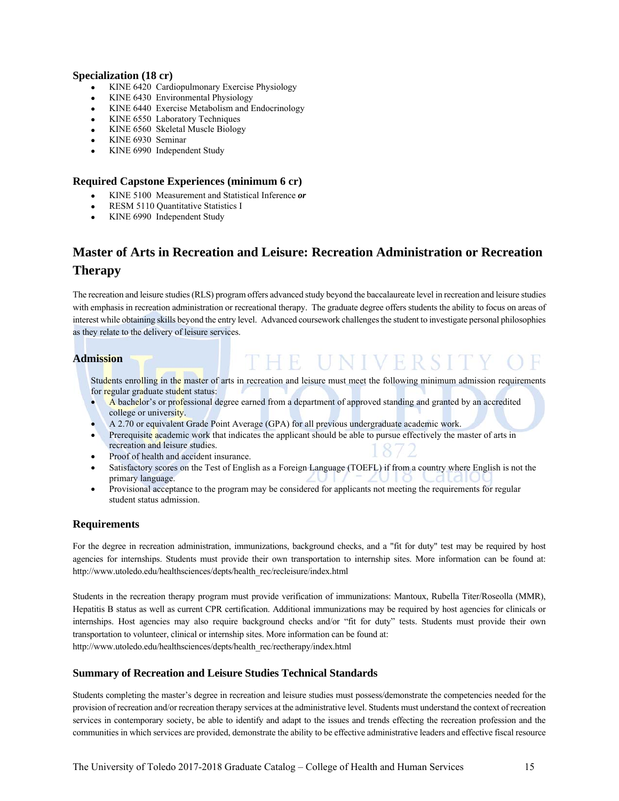## **Specialization (18 cr)**

- KINE 6420 Cardiopulmonary Exercise Physiology
- KINE 6430 Environmental Physiology
- KINE 6440 Exercise Metabolism and Endocrinology
- KINE 6550 Laboratory Techniques
- KINE 6560 Skeletal Muscle Biology
- KINE 6930 Seminar
- KINE 6990 Independent Study

## **Required Capstone Experiences (minimum 6 cr)**

- KINE 5100 Measurement and Statistical Inference *or*
- RESM 5110 Quantitative Statistics I
- KINE 6990 Independent Study

# **Master of Arts in Recreation and Leisure: Recreation Administration or Recreation Therapy**

The recreation and leisure studies (RLS) program offers advanced study beyond the baccalaureate level in recreation and leisure studies with emphasis in recreation administration or recreational therapy. The graduate degree offers students the ability to focus on areas of interest while obtaining skills beyond the entry level. Advanced coursework challenges the student to investigate personal philosophies as they relate to the delivery of leisure services.

## **Admission**

Students enrolling in the master of arts in recreation and leisure must meet the following minimum admission requirements for regular graduate student status:

PHE UNIVERSI

- A bachelor's or professional degree earned from a department of approved standing and granted by an accredited college or university.
- A 2.70 or equivalent Grade Point Average (GPA) for all previous undergraduate academic work.
- Prerequisite academic work that indicates the applicant should be able to pursue effectively the master of arts in recreation and leisure studies.
- Proof of health and accident insurance.
- Satisfactory scores on the Test of English as a Foreign Language (TOEFL) if from a country where English is not the primary language.
- Provisional acceptance to the program may be considered for applicants not meeting the requirements for regular student status admission.

## **Requirements**

For the degree in recreation administration, immunizations, background checks, and a "fit for duty" test may be required by host agencies for internships. Students must provide their own transportation to internship sites. More information can be found at: http://www.utoledo.edu/healthsciences/depts/health\_rec/recleisure/index.html

Students in the recreation therapy program must provide verification of immunizations: Mantoux, Rubella Titer/Roseolla (MMR), Hepatitis B status as well as current CPR certification. Additional immunizations may be required by host agencies for clinicals or internships. Host agencies may also require background checks and/or "fit for duty" tests. Students must provide their own transportation to volunteer, clinical or internship sites. More information can be found at: http://www.utoledo.edu/healthsciences/depts/health\_rec/rectherapy/index.html

## **Summary of Recreation and Leisure Studies Technical Standards**

Students completing the master's degree in recreation and leisure studies must possess/demonstrate the competencies needed for the provision of recreation and/or recreation therapy services at the administrative level. Students must understand the context of recreation services in contemporary society, be able to identify and adapt to the issues and trends effecting the recreation profession and the communities in which services are provided, demonstrate the ability to be effective administrative leaders and effective fiscal resource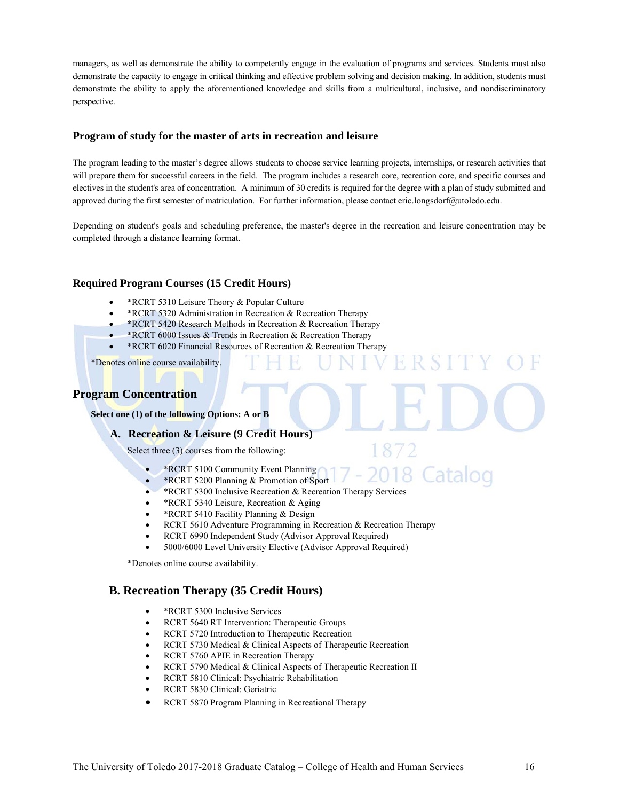managers, as well as demonstrate the ability to competently engage in the evaluation of programs and services. Students must also demonstrate the capacity to engage in critical thinking and effective problem solving and decision making. In addition, students must demonstrate the ability to apply the aforementioned knowledge and skills from a multicultural, inclusive, and nondiscriminatory perspective.

## **Program of study for the master of arts in recreation and leisure**

The program leading to the master's degree allows students to choose service learning projects, internships, or research activities that will prepare them for successful careers in the field. The program includes a research core, recreation core, and specific courses and electives in the student's area of concentration. A minimum of 30 credits is required for the degree with a plan of study submitted and approved during the first semester of matriculation. For further information, please contact eric.longsdorf@utoledo.edu.

Depending on student's goals and scheduling preference, the master's degree in the recreation and leisure concentration may be completed through a distance learning format.

## **Required Program Courses (15 Credit Hours)**

- \*RCRT 5310 Leisure Theory & Popular Culture
- \*RCRT 5320 Administration in Recreation & Recreation Therapy
- \*RCRT 5420 Research Methods in Recreation & Recreation Therapy
- \*RCRT 6000 Issues & Trends in Recreation & Recreation Therapy
- \*RCRT 6020 Financial Resources of Recreation & Recreation Therapy

\*Denotes online course availability.

## **Program Concentration**

**Select one (1) of the following Options: A or B**

**A. Recreation & Leisure (9 Credit Hours)** 

Select three (3) courses from the following:

- \*RCRT 5100 Community Event Planning
- \*RCRT 5200 Planning & Promotion of Sport
- \*RCRT 5300 Inclusive Recreation & Recreation Therapy Services
- \* RCRT 5340 Leisure, Recreation & Aging
- \*RCRT 5410 Facility Planning & Design
- RCRT 5610 Adventure Programming in Recreation & Recreation Therapy
- RCRT 6990 Independent Study (Advisor Approval Required)
- 5000/6000 Level University Elective (Advisor Approval Required)

\*Denotes online course availability.

## **B. Recreation Therapy (35 Credit Hours)**

- \*RCRT 5300 Inclusive Services
- RCRT 5640 RT Intervention: Therapeutic Groups
- RCRT 5720 Introduction to Therapeutic Recreation
- RCRT 5730 Medical & Clinical Aspects of Therapeutic Recreation
- RCRT 5760 APIE in Recreation Therapy
- RCRT 5790 Medical & Clinical Aspects of Therapeutic Recreation II
- RCRT 5810 Clinical: Psychiatric Rehabilitation
- RCRT 5830 Clinical: Geriatric
- RCRT 5870 Program Planning in Recreational Therapy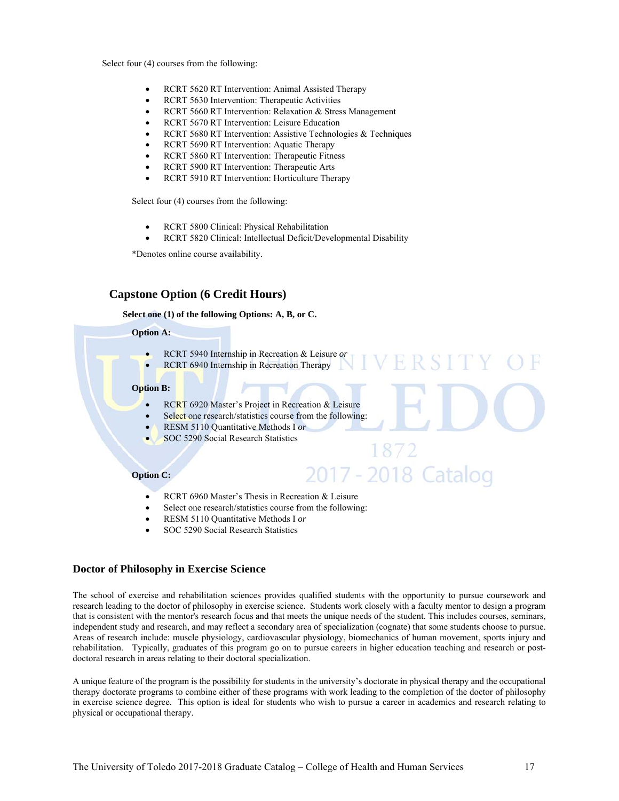Select four (4) courses from the following:

- RCRT 5620 RT Intervention: Animal Assisted Therapy
- RCRT 5630 Intervention: Therapeutic Activities
- RCRT 5660 RT Intervention: Relaxation & Stress Management
- RCRT 5670 RT Intervention: Leisure Education
- RCRT 5680 RT Intervention: Assistive Technologies & Techniques
- RCRT 5690 RT Intervention: Aquatic Therapy
- RCRT 5860 RT Intervention: Therapeutic Fitness
- RCRT 5900 RT Intervention: Therapeutic Arts
- RCRT 5910 RT Intervention: Horticulture Therapy

Select four (4) courses from the following:

- RCRT 5800 Clinical: Physical Rehabilitation
- RCRT 5820 Clinical: Intellectual Deficit/Developmental Disability

\*Denotes online course availability.

## **Capstone Option (6 Credit Hours)**

#### **Select one (1) of the following Options: A, B, or C.**

## **Option A:**

- RCRT 5940 Internship in Recreation & Leisure *or*
- RCRT 6940 Internship in Recreation Therapy

#### **Option B:**

- RCRT 6920 Master's Project in Recreation & Leisure
- Select one research/statistics course from the following:
- RESM 5110 Quantitative Methods I *or*
- SOC 5290 Social Research Statistics

#### **Option C:**

- RCRT 6960 Master's Thesis in Recreation & Leisure
- Select one research/statistics course from the following:
- RESM 5110 Quantitative Methods I *or*
- SOC 5290 Social Research Statistics

#### **Doctor of Philosophy in Exercise Science**

The school of exercise and rehabilitation sciences provides qualified students with the opportunity to pursue coursework and research leading to the doctor of philosophy in exercise science. Students work closely with a faculty mentor to design a program that is consistent with the mentor's research focus and that meets the unique needs of the student. This includes courses, seminars, independent study and research, and may reflect a secondary area of specialization (cognate) that some students choose to pursue. Areas of research include: muscle physiology, cardiovascular physiology, biomechanics of human movement, sports injury and rehabilitation. Typically, graduates of this program go on to pursue careers in higher education teaching and research or postdoctoral research in areas relating to their doctoral specialization.

1872

2017 - 2018 Catalog

A unique feature of the program is the possibility for students in the university's doctorate in physical therapy and the occupational therapy doctorate programs to combine either of these programs with work leading to the completion of the doctor of philosophy in exercise science degree. This option is ideal for students who wish to pursue a career in academics and research relating to physical or occupational therapy.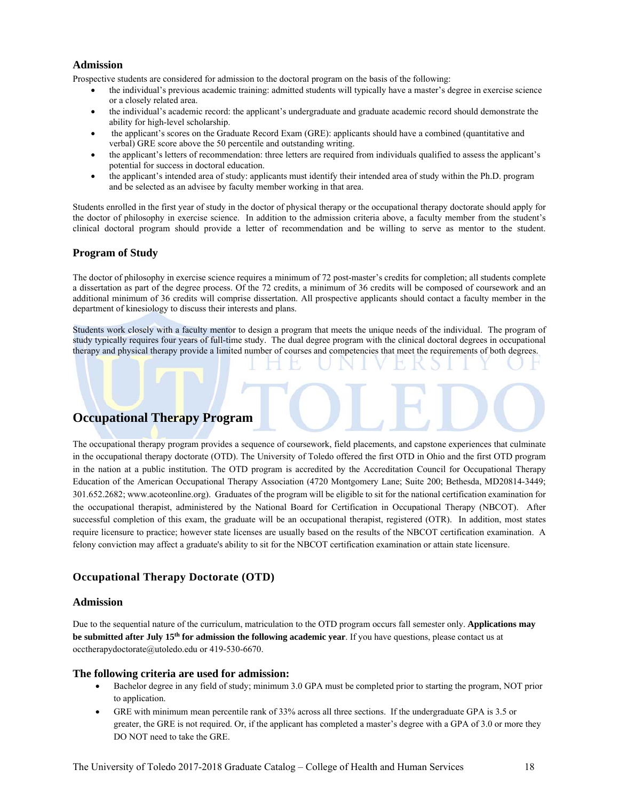## **Admission**

Prospective students are considered for admission to the doctoral program on the basis of the following:

- the individual's previous academic training: admitted students will typically have a master's degree in exercise science or a closely related area.
- the individual's academic record: the applicant's undergraduate and graduate academic record should demonstrate the ability for high-level scholarship.
- the applicant's scores on the Graduate Record Exam (GRE): applicants should have a combined (quantitative and verbal) GRE score above the 50 percentile and outstanding writing.
- the applicant's letters of recommendation: three letters are required from individuals qualified to assess the applicant's potential for success in doctoral education.
- the applicant's intended area of study: applicants must identify their intended area of study within the Ph.D. program and be selected as an advisee by faculty member working in that area.

Students enrolled in the first year of study in the doctor of physical therapy or the occupational therapy doctorate should apply for the doctor of philosophy in exercise science. In addition to the admission criteria above, a faculty member from the student's clinical doctoral program should provide a letter of recommendation and be willing to serve as mentor to the student.

## **Program of Study**

The doctor of philosophy in exercise science requires a minimum of 72 post-master's credits for completion; all students complete a dissertation as part of the degree process. Of the 72 credits, a minimum of 36 credits will be composed of coursework and an additional minimum of 36 credits will comprise dissertation. All prospective applicants should contact a faculty member in the department of kinesiology to discuss their interests and plans.

Students work closely with a faculty mentor to design a program that meets the unique needs of the individual. The program of study typically requires four years of full-time study. The dual degree program with the clinical doctoral degrees in occupational therapy and physical therapy provide a limited number of courses and competencies that meet the requirements of both degrees.

## **Occupational Therapy Program**

The occupational therapy program provides a sequence of coursework, field placements, and capstone experiences that culminate in the occupational therapy doctorate (OTD). The University of Toledo offered the first OTD in Ohio and the first OTD program in the nation at a public institution. The OTD program is accredited by the Accreditation Council for Occupational Therapy Education of the American Occupational Therapy Association (4720 Montgomery Lane; Suite 200; Bethesda, MD20814-3449; 301.652.2682; www.acoteonline.org). Graduates of the program will be eligible to sit for the national certification examination for the occupational therapist, administered by the National Board for Certification in Occupational Therapy (NBCOT). After successful completion of this exam, the graduate will be an occupational therapist, registered (OTR). In addition, most states require licensure to practice; however state licenses are usually based on the results of the NBCOT certification examination. A felony conviction may affect a graduate's ability to sit for the NBCOT certification examination or attain state licensure.

## **Occupational Therapy Doctorate (OTD)**

## **Admission**

Due to the sequential nature of the curriculum, matriculation to the OTD program occurs fall semester only. **Applications may be submitted after July 15th for admission the following academic year**. If you have questions, please contact us at occtherapydoctorate@utoledo.edu or 419-530-6670.

#### **The following criteria are used for admission:**

- Bachelor degree in any field of study; minimum 3.0 GPA must be completed prior to starting the program, NOT prior to application.
- GRE with minimum mean percentile rank of 33% across all three sections. If the undergraduate GPA is 3.5 or greater, the GRE is not required. Or, if the applicant has completed a master's degree with a GPA of 3.0 or more they DO NOT need to take the GRE.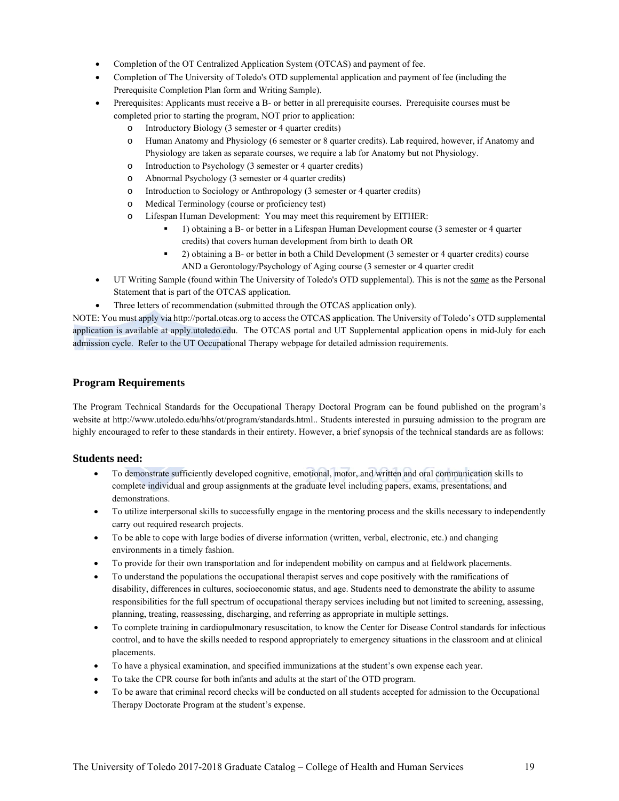- Completion of the OT Centralized Application System (OTCAS) and payment of fee.
- Completion of The University of Toledo's OTD supplemental application and payment of fee (including the Prerequisite Completion Plan form and Writing Sample).
- Prerequisites: Applicants must receive a B- or better in all prerequisite courses. Prerequisite courses must be completed prior to starting the program, NOT prior to application:
	- o Introductory Biology (3 semester or 4 quarter credits)
	- o Human Anatomy and Physiology (6 semester or 8 quarter credits). Lab required, however, if Anatomy and Physiology are taken as separate courses, we require a lab for Anatomy but not Physiology.
	- o Introduction to Psychology (3 semester or 4 quarter credits)
	- o Abnormal Psychology (3 semester or 4 quarter credits)
	- o Introduction to Sociology or Anthropology (3 semester or 4 quarter credits)
	- o Medical Terminology (course or proficiency test)
	- o Lifespan Human Development: You may meet this requirement by EITHER:
		- 1) obtaining a B- or better in a Lifespan Human Development course (3 semester or 4 quarter credits) that covers human development from birth to death OR
		- 2) obtaining a B- or better in both a Child Development (3 semester or 4 quarter credits) course AND a Gerontology/Psychology of Aging course (3 semester or 4 quarter credit
- UT Writing Sample (found within The University of Toledo's OTD supplemental). This is not the *same* as the Personal Statement that is part of the OTCAS application.
	- Three letters of recommendation (submitted through the OTCAS application only).

NOTE: You must apply via http://portal.otcas.org to access the OTCAS application. The University of Toledo's OTD supplemental application is available at apply.utoledo.edu. The OTCAS portal and UT Supplemental application opens in mid-July for each admission cycle. Refer to the UT Occupational Therapy webpage for detailed admission requirements.

## **Program Requirements**

The Program Technical Standards for the Occupational Therapy Doctoral Program can be found published on the program's website at http://www.utoledo.edu/hhs/ot/program/standards.html.. Students interested in pursuing admission to the program are highly encouraged to refer to these standards in their entirety. However, a brief synopsis of the technical standards are as follows:

## **Students need:**

- To demonstrate sufficiently developed cognitive, emotional, motor, and written and oral communication skills to complete individual and group assignments at the graduate level including papers, exams, presentations, and demonstrations.
- To utilize interpersonal skills to successfully engage in the mentoring process and the skills necessary to independently carry out required research projects.
- To be able to cope with large bodies of diverse information (written, verbal, electronic, etc.) and changing environments in a timely fashion.
- To provide for their own transportation and for independent mobility on campus and at fieldwork placements.
- To understand the populations the occupational therapist serves and cope positively with the ramifications of disability, differences in cultures, socioeconomic status, and age. Students need to demonstrate the ability to assume responsibilities for the full spectrum of occupational therapy services including but not limited to screening, assessing, planning, treating, reassessing, discharging, and referring as appropriate in multiple settings.
- To complete training in cardiopulmonary resuscitation, to know the Center for Disease Control standards for infectious control, and to have the skills needed to respond appropriately to emergency situations in the classroom and at clinical placements.
- To have a physical examination, and specified immunizations at the student's own expense each year.
- To take the CPR course for both infants and adults at the start of the OTD program.
- To be aware that criminal record checks will be conducted on all students accepted for admission to the Occupational Therapy Doctorate Program at the student's expense.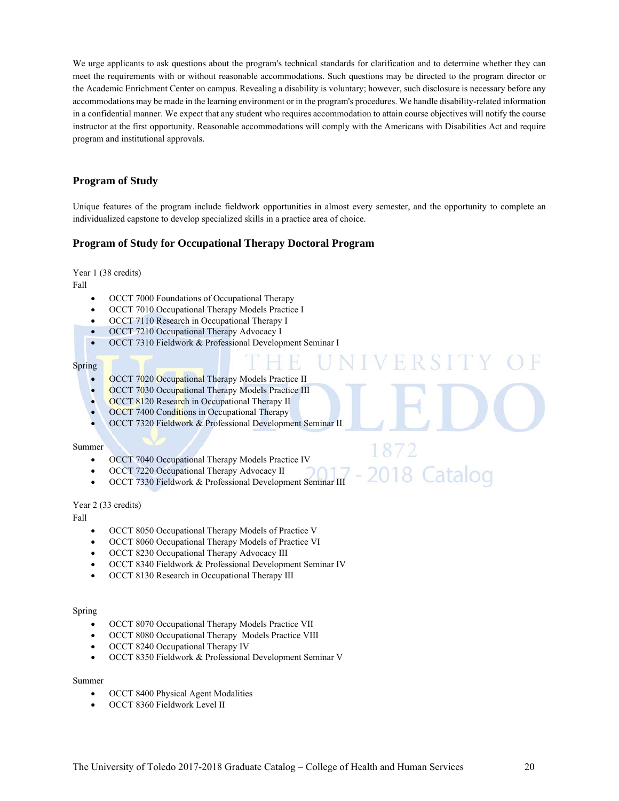We urge applicants to ask questions about the program's technical standards for clarification and to determine whether they can meet the requirements with or without reasonable accommodations. Such questions may be directed to the program director or the Academic Enrichment Center on campus. Revealing a disability is voluntary; however, such disclosure is necessary before any accommodations may be made in the learning environment or in the program's procedures. We handle disability-related information in a confidential manner. We expect that any student who requires accommodation to attain course objectives will notify the course instructor at the first opportunity. Reasonable accommodations will comply with the Americans with Disabilities Act and require program and institutional approvals.

## **Program of Study**

Unique features of the program include fieldwork opportunities in almost every semester, and the opportunity to complete an individualized capstone to develop specialized skills in a practice area of choice.

## **Program of Study for Occupational Therapy Doctoral Program**

Year 1 (38 credits)

Fall

- OCCT 7000 Foundations of Occupational Therapy
- OCCT 7010 Occupational Therapy Models Practice I
- OCCT 7110 Research in Occupational Therapy I
- OCCT 7210 Occupational Therapy Advocacy I
- OCCT 7310 Fieldwork & Professional Development Seminar I

#### Spring

- OCCT 7020 Occupational Therapy Models Practice II
- OCCT 7030 Occupational Therapy Models Practice III
- **OCCT 8120 Research in Occupational Therapy II**
- OCCT 7400 Conditions in Occupational Therapy
- OCCT 7320 Fieldwork & Professional Development Seminar II

#### Summer

- OCCT 7040 Occupational Therapy Models Practice IV
- OCCT 7220 Occupational Therapy Advocacy II
- OCCT 7330 Fieldwork & Professional Development Seminar III

#### Year 2 (33 credits)

Fall

- OCCT 8050 Occupational Therapy Models of Practice V
- OCCT 8060 Occupational Therapy Models of Practice VI
- OCCT 8230 Occupational Therapy Advocacy III
- OCCT 8340 Fieldwork & Professional Development Seminar IV
- OCCT 8130 Research in Occupational Therapy III

#### Spring

- OCCT 8070 Occupational Therapy Models Practice VII
- OCCT 8080 Occupational Therapy Models Practice VIII
- OCCT 8240 Occupational Therapy IV
- OCCT 8350 Fieldwork & Professional Development Seminar V

#### Summer

- OCCT 8400 Physical Agent Modalities
- OCCT 8360 Fieldwork Level II

2018 Cataloo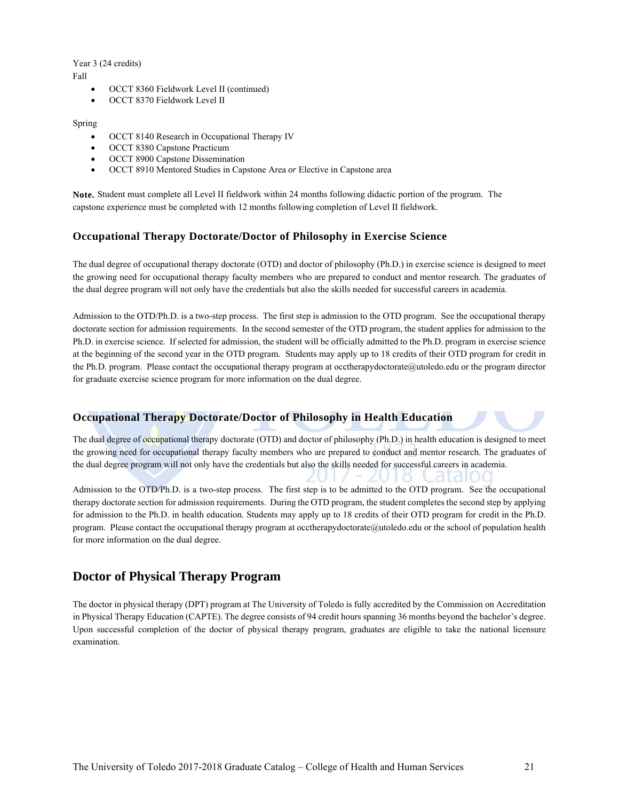#### Year 3 (24 credits) Fall

- OCCT 8360 Fieldwork Level II (continued)
- OCCT 8370 Fieldwork Level II

#### Spring

- OCCT 8140 Research in Occupational Therapy IV
- OCCT 8380 Capstone Practicum
- OCCT 8900 Capstone Dissemination
- OCCT 8910 Mentored Studies in Capstone Area *or* Elective in Capstone area

**Note.** Student must complete all Level II fieldwork within 24 months following didactic portion of the program. The capstone experience must be completed with 12 months following completion of Level II fieldwork.

#### **Occupational Therapy Doctorate/Doctor of Philosophy in Exercise Science**

The dual degree of occupational therapy doctorate (OTD) and doctor of philosophy (Ph.D.) in exercise science is designed to meet the growing need for occupational therapy faculty members who are prepared to conduct and mentor research. The graduates of the dual degree program will not only have the credentials but also the skills needed for successful careers in academia.

Admission to the OTD/Ph.D. is a two-step process. The first step is admission to the OTD program. See the occupational therapy doctorate section for admission requirements. In the second semester of the OTD program, the student applies for admission to the Ph.D. in exercise science. If selected for admission, the student will be officially admitted to the Ph.D. program in exercise science at the beginning of the second year in the OTD program. Students may apply up to 18 credits of their OTD program for credit in the Ph.D. program. Please contact the occupational therapy program at occtherapydoctorate@utoledo.edu or the program director for graduate exercise science program for more information on the dual degree.

## **Occupational Therapy Doctorate/Doctor of Philosophy in Health Education**

The dual degree of occupational therapy doctorate (OTD) and doctor of philosophy (Ph.D.) in health education is designed to meet the growing need for occupational therapy faculty members who are prepared to conduct and mentor research. The graduates of the dual degree program will not only have the credentials but also the skills needed for successful careers in academia.

Admission to the OTD/Ph.D. is a two-step process. The first step is to be admitted to the OTD program. See the occupational therapy doctorate section for admission requirements. During the OTD program, the student completes the second step by applying for admission to the Ph.D. in health education. Students may apply up to 18 credits of their OTD program for credit in the Ph.D. program. Please contact the occupational therapy program at occtherapydoctorate@utoledo.edu or the school of population health for more information on the dual degree.

## **Doctor of Physical Therapy Program**

The doctor in physical therapy (DPT) program at The University of Toledo is fully accredited by the Commission on Accreditation in Physical Therapy Education (CAPTE). The degree consists of 94 credit hours spanning 36 months beyond the bachelor's degree. Upon successful completion of the doctor of physical therapy program, graduates are eligible to take the national licensure examination.

didi00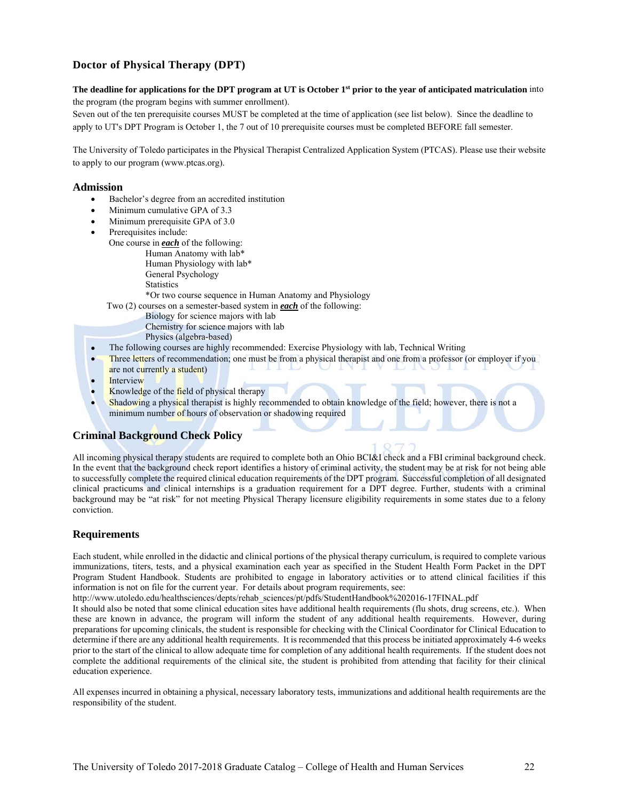## **Doctor of Physical Therapy (DPT)**

**The deadline for applications for the DPT program at UT is October 1st prior to the year of anticipated matriculation** into the program (the program begins with summer enrollment).

Seven out of the ten prerequisite courses MUST be completed at the time of application (see list below). Since the deadline to apply to UT's DPT Program is October 1, the 7 out of 10 prerequisite courses must be completed BEFORE fall semester.

The University of Toledo participates in the Physical Therapist Centralized Application System (PTCAS). Please use their website to apply to our program (www.ptcas.org).

#### **Admission**

- Bachelor's degree from an accredited institution
- Minimum cumulative GPA of 3.3
- Minimum prerequisite GPA of 3.0
- Prerequisites include:
	- One course in *each* of the following: Human Anatomy with lab\* Human Physiology with lab\*
		- General Psychology
		- **Statistics**

\*Or two course sequence in Human Anatomy and Physiology

Two (2) courses on a semester-based system in *each* of the following:

- Biology for science majors with lab
- Chemistry for science majors with lab
- Physics (algebra-based)
- The following courses are highly recommended: Exercise Physiology with lab, Technical Writing
- Three letters of recommendation; one must be from a physical therapist and one from a professor (or employer if you are not currently a student)
- Interview
- Knowledge of the field of physical therapy
- Shadowing a physical therapist is highly recommended to obtain knowledge of the field; however, there is not a minimum number of hours of observation or shadowing required

## **Criminal Background Check Policy**

All incoming physical therapy students are required to complete both an Ohio BCI&I check and a FBI criminal background check. In the event that the background check report identifies a history of criminal activity, the student may be at risk for not being able to successfully complete the required clinical education requirements of the DPT program. Successful completion of all designated clinical practicums and clinical internships is a graduation requirement for a DPT degree. Further, students with a criminal background may be "at risk" for not meeting Physical Therapy licensure eligibility requirements in some states due to a felony conviction.

## **Requirements**

Each student, while enrolled in the didactic and clinical portions of the physical therapy curriculum, is required to complete various immunizations, titers, tests, and a physical examination each year as specified in the Student Health Form Packet in the DPT Program Student Handbook. Students are prohibited to engage in laboratory activities or to attend clinical facilities if this information is not on file for the current year. For details about program requirements, see:

http://www.utoledo.edu/healthsciences/depts/rehab\_sciences/pt/pdfs/StudentHandbook%202016-17FINAL.pdf

It should also be noted that some clinical education sites have additional health requirements (flu shots, drug screens, etc.). When these are known in advance, the program will inform the student of any additional health requirements. However, during preparations for upcoming clinicals, the student is responsible for checking with the Clinical Coordinator for Clinical Education to determine if there are any additional health requirements. It is recommended that this process be initiated approximately 4-6 weeks prior to the start of the clinical to allow adequate time for completion of any additional health requirements. If the student does not complete the additional requirements of the clinical site, the student is prohibited from attending that facility for their clinical education experience.

All expenses incurred in obtaining a physical, necessary laboratory tests, immunizations and additional health requirements are the responsibility of the student.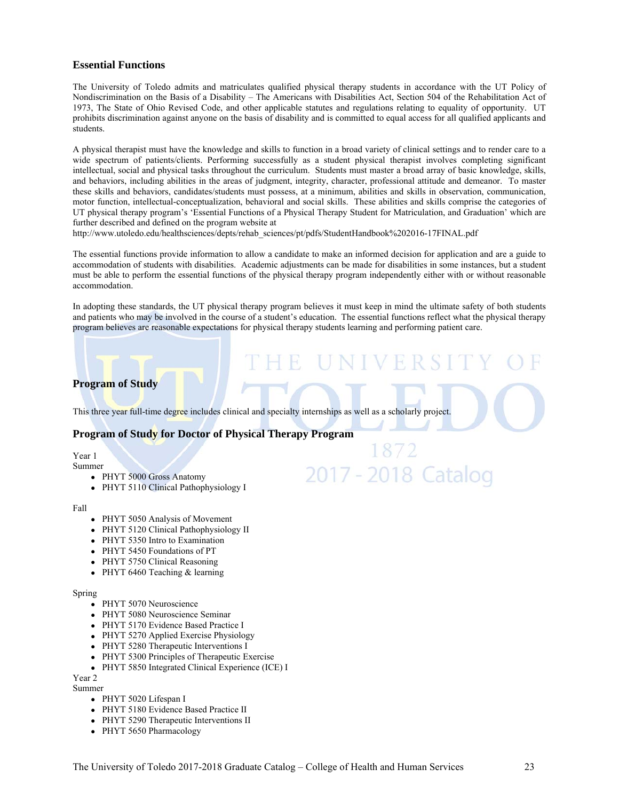## **Essential Functions**

The University of Toledo admits and matriculates qualified physical therapy students in accordance with the UT Policy of Nondiscrimination on the Basis of a Disability – The Americans with Disabilities Act, Section 504 of the Rehabilitation Act of 1973, The State of Ohio Revised Code, and other applicable statutes and regulations relating to equality of opportunity. UT prohibits discrimination against anyone on the basis of disability and is committed to equal access for all qualified applicants and students.

A physical therapist must have the knowledge and skills to function in a broad variety of clinical settings and to render care to a wide spectrum of patients/clients. Performing successfully as a student physical therapist involves completing significant intellectual, social and physical tasks throughout the curriculum. Students must master a broad array of basic knowledge, skills, and behaviors, including abilities in the areas of judgment, integrity, character, professional attitude and demeanor. To master these skills and behaviors, candidates/students must possess, at a minimum, abilities and skills in observation, communication, motor function, intellectual-conceptualization, behavioral and social skills. These abilities and skills comprise the categories of UT physical therapy program's 'Essential Functions of a Physical Therapy Student for Matriculation, and Graduation' which are further described and defined on the program website at

http://www.utoledo.edu/healthsciences/depts/rehab\_sciences/pt/pdfs/StudentHandbook%202016-17FINAL.pdf

The essential functions provide information to allow a candidate to make an informed decision for application and are a guide to accommodation of students with disabilities. Academic adjustments can be made for disabilities in some instances, but a student must be able to perform the essential functions of the physical therapy program independently either with or without reasonable accommodation.

In adopting these standards, the UT physical therapy program believes it must keep in mind the ultimate safety of both students and patients who may be involved in the course of a student's education. The essential functions reflect what the physical therapy program believes are reasonable expectations for physical therapy students learning and performing patient care.

VERS

2017 - 2018 Catalog

## **Program of Study**

This three year full-time degree includes clinical and specialty internships as well as a scholarly project.

## **Program of Study for Doctor of Physical Therapy Program**

Year 1

- Summer
	- PHYT 5000 Gross Anatomy
	- PHYT 5110 Clinical Pathophysiology I

Fall

- PHYT 5050 Analysis of Movement
- PHYT 5120 Clinical Pathophysiology II
- PHYT 5350 Intro to Examination
- PHYT 5450 Foundations of PT
- PHYT 5750 Clinical Reasoning
- $\bullet$  PHYT 6460 Teaching & learning

#### Spring

- PHYT 5070 Neuroscience
- PHYT 5080 Neuroscience Seminar
- PHYT 5170 Evidence Based Practice I
- PHYT 5270 Applied Exercise Physiology
- PHYT 5280 Therapeutic Interventions I
- PHYT 5300 Principles of Therapeutic Exercise
- PHYT 5850 Integrated Clinical Experience (ICE) I

Year 2

- Summer
	- PHYT 5020 Lifespan I
	- PHYT 5180 Evidence Based Practice II
	- PHYT 5290 Therapeutic Interventions II
	- PHYT 5650 Pharmacology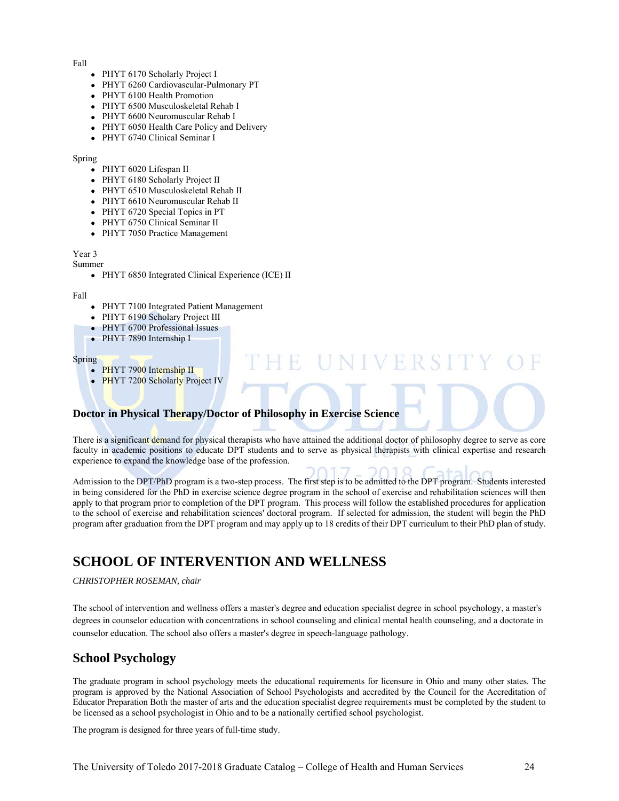#### Fall

- PHYT 6170 Scholarly Project I
- PHYT 6260 Cardiovascular-Pulmonary PT
- PHYT 6100 Health Promotion
- PHYT 6500 Musculoskeletal Rehab I
- PHYT 6600 Neuromuscular Rehab I
- PHYT 6050 Health Care Policy and Delivery
- PHYT 6740 Clinical Seminar I

#### Spring

- PHYT 6020 Lifespan II
- PHYT 6180 Scholarly Project II
- PHYT 6510 Musculoskeletal Rehab II
- PHYT 6610 Neuromuscular Rehab II
- PHYT 6720 Special Topics in PT
- PHYT 6750 Clinical Seminar II
- PHYT 7050 Practice Management

## Year 3

#### Summer

• PHYT 6850 Integrated Clinical Experience (ICE) II

#### Fall

- PHYT 7100 Integrated Patient Management
- PHYT 6190 Scholary Project III
- PHYT 6700 Professional Issues
- PHYT 7890 Internship I

#### Spring

- PHYT 7900 Internship II
- PHYT 7200 Scholarly Project IV

## **Doctor in Physical Therapy/Doctor of Philosophy in Exercise Science**

There is a significant demand for physical therapists who have attained the additional doctor of philosophy degree to serve as core faculty in academic positions to educate DPT students and to serve as physical therapists with clinical expertise and research experience to expand the knowledge base of the profession.

**UNIVERSI** 

Admission to the DPT/PhD program is a two-step process. The first step is to be admitted to the DPT program. Students interested in being considered for the PhD in exercise science degree program in the school of exercise and rehabilitation sciences will then apply to that program prior to completion of the DPT program. This process will follow the established procedures for application to the school of exercise and rehabilitation sciences' doctoral program. If selected for admission, the student will begin the PhD program after graduation from the DPT program and may apply up to 18 credits of their DPT curriculum to their PhD plan of study.

# **SCHOOL OF INTERVENTION AND WELLNESS**

#### *CHRISTOPHER ROSEMAN, chair*

The school of intervention and wellness offers a master's degree and education specialist degree in school psychology, a master's degrees in counselor education with concentrations in school counseling and clinical mental health counseling, and a doctorate in counselor education. The school also offers a master's degree in speech-language pathology.

## **School Psychology**

The graduate program in school psychology meets the educational requirements for licensure in Ohio and many other states. The program is approved by the National Association of School Psychologists and accredited by the Council for the Accreditation of Educator Preparation Both the master of arts and the education specialist degree requirements must be completed by the student to be licensed as a school psychologist in Ohio and to be a nationally certified school psychologist.

The program is designed for three years of full-time study.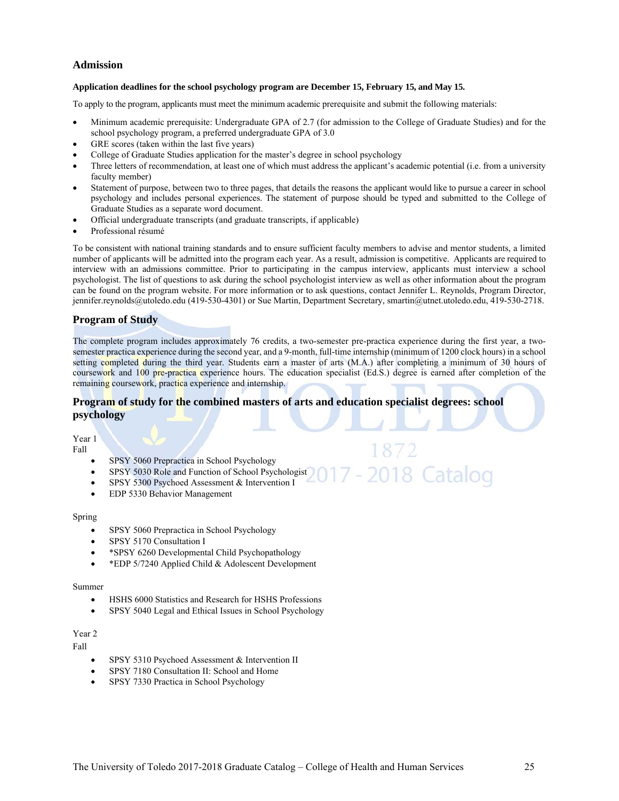## **Admission**

#### **Application deadlines for the school psychology program are December 15, February 15, and May 15.**

To apply to the program, applicants must meet the minimum academic prerequisite and submit the following materials:

- Minimum academic prerequisite: Undergraduate GPA of 2.7 (for admission to the College of Graduate Studies) and for the school psychology program, a preferred undergraduate GPA of 3.0
- GRE scores (taken within the last five years)
- College of Graduate Studies application for the master's degree in school psychology
- Three letters of recommendation, at least one of which must address the applicant's academic potential (i.e. from a university faculty member)
- Statement of purpose, between two to three pages, that details the reasons the applicant would like to pursue a career in school psychology and includes personal experiences. The statement of purpose should be typed and submitted to the College of Graduate Studies as a separate word document.
- Official undergraduate transcripts (and graduate transcripts, if applicable)
- Professional résumé

To be consistent with national training standards and to ensure sufficient faculty members to advise and mentor students, a limited number of applicants will be admitted into the program each year. As a result, admission is competitive. Applicants are required to interview with an admissions committee. Prior to participating in the campus interview, applicants must interview a school psychologist. The list of questions to ask during the school psychologist interview as well as other information about the program can be found on the program website. For more information or to ask questions, contact Jennifer L. Reynolds, Program Director, jennifer.reynolds@utoledo.edu (419-530-4301) or Sue Martin, Department Secretary, smartin@utnet.utoledo.edu, 419-530-2718.

## **Program of Study**

The complete program includes approximately 76 credits, a two-semester pre-practica experience during the first year, a twosemester practica experience during the second year, and a 9-month, full-time internship (minimum of 1200 clock hours) in a school setting completed during the third year. Students earn a master of arts (M.A.) after completing a minimum of 30 hours of coursework and 100 pre-practica experience hours. The education specialist (Ed.S.) degree is earned after completion of the remaining coursework, practica experience and internship.

2018 Catalog

## **Program of study for the combined masters of arts and education specialist degrees: school psychology**

Year 1 Fall

- SPSY 5060 Prepractica in School Psychology
- SPSY 5030 Role and Function of School Psychologist
- SPSY 5300 Psychoed Assessment & Intervention I
- EDP 5330 Behavior Management

#### Spring

- SPSY 5060 Prepractica in School Psychology
- SPSY 5170 Consultation I
- \*SPSY 6260 Developmental Child Psychopathology
- \* EDP 5/7240 Applied Child & Adolescent Development

#### Summer

- HSHS 6000 Statistics and Research for HSHS Professions
- SPSY 5040 Legal and Ethical Issues in School Psychology

## Year 2

Fall

- SPSY 5310 Psychoed Assessment & Intervention II
- SPSY 7180 Consultation II: School and Home
- SPSY 7330 Practica in School Psychology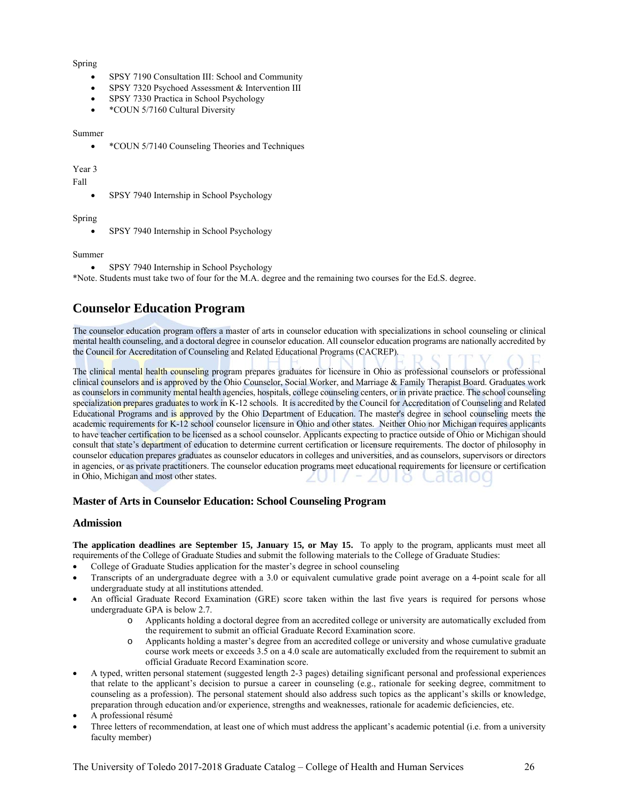#### Spring

- SPSY 7190 Consultation III: School and Community
- SPSY 7320 Psychoed Assessment & Intervention III
- SPSY 7330 Practica in School Psychology
- \* COUN 5/7160 Cultural Diversity

#### Summer

• \*COUN 5/7140 Counseling Theories and Techniques

#### Year 3

#### Fall

SPSY 7940 Internship in School Psychology

#### Spring

• SPSY 7940 Internship in School Psychology

#### Summer

• SPSY 7940 Internship in School Psychology

\*Note. Students must take two of four for the M.A. degree and the remaining two courses for the Ed.S. degree.

# **Counselor Education Program**

The counselor education program offers a master of arts in counselor education with specializations in school counseling or clinical mental health counseling, and a doctoral degree in counselor education. All counselor education programs are nationally accredited by the Council for Accreditation of Counseling and Related Educational Programs (CACREP).

The clinical mental health counseling program prepares graduates for licensure in Ohio as professional counselors or professional clinical counselors and is approved by the Ohio Counselor, Social Worker, and Marriage & Family Therapist Board. Graduates work as counselors in community mental health agencies, hospitals, college counseling centers, or in private practice. The school counseling specialization prepares graduates to work in K-12 schools. It is accredited by the Council for Accreditation of Counseling and Related Educational Programs and is approved by the Ohio Department of Education. The master's degree in school counseling meets the academic requirements for K-12 school counselor licensure in Ohio and other states. Neither Ohio nor Michigan requires applicants to have teacher certification to be licensed as a school counselor. Applicants expecting to practice outside of Ohio or Michigan should consult that state's department of education to determine current certification or licensure requirements. The doctor of philosophy in counselor education prepares graduates as counselor educators in colleges and universities, and as counselors, supervisors or directors in agencies, or as private practitioners. The counselor education programs meet educational requirements for licensure or certification in Ohio, Michigan and most other states.

## **Master of Arts in Counselor Education: School Counseling Program**

#### **Admission**

**The application deadlines are September 15, January 15, or May 15.** To apply to the program, applicants must meet all requirements of the College of Graduate Studies and submit the following materials to the College of Graduate Studies:

- College of Graduate Studies application for the master's degree in school counseling
- Transcripts of an undergraduate degree with a 3.0 or equivalent cumulative grade point average on a 4-point scale for all undergraduate study at all institutions attended.
- An official Graduate Record Examination (GRE) score taken within the last five years is required for persons whose undergraduate GPA is below 2.7.
	- o Applicants holding a doctoral degree from an accredited college or university are automatically excluded from the requirement to submit an official Graduate Record Examination score.
	- o Applicants holding a master's degree from an accredited college or university and whose cumulative graduate course work meets or exceeds 3.5 on a 4.0 scale are automatically excluded from the requirement to submit an official Graduate Record Examination score.
- A typed, written personal statement (suggested length 2-3 pages) detailing significant personal and professional experiences that relate to the applicant's decision to pursue a career in counseling (e.g., rationale for seeking degree, commitment to counseling as a profession). The personal statement should also address such topics as the applicant's skills or knowledge, preparation through education and/or experience, strengths and weaknesses, rationale for academic deficiencies, etc.
- A professional résumé
- Three letters of recommendation, at least one of which must address the applicant's academic potential (i.e. from a university faculty member)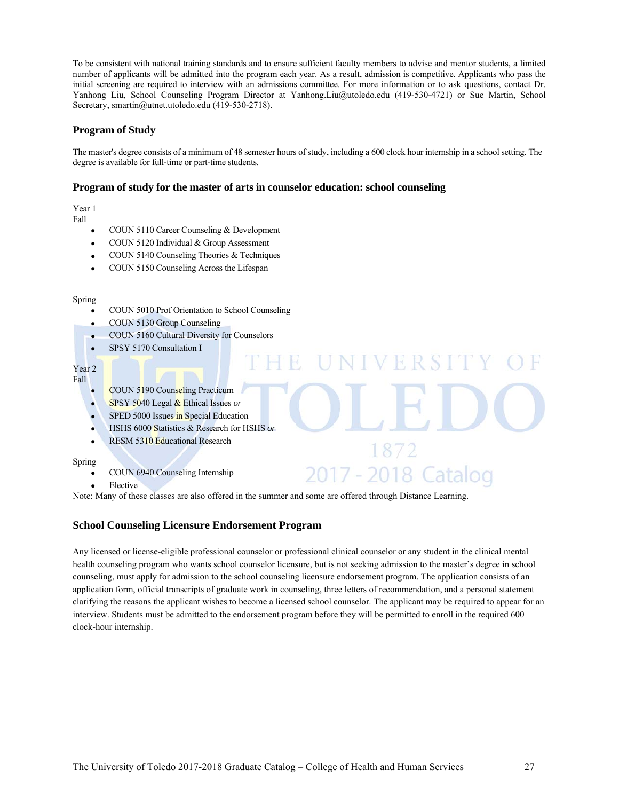To be consistent with national training standards and to ensure sufficient faculty members to advise and mentor students, a limited number of applicants will be admitted into the program each year. As a result, admission is competitive. Applicants who pass the initial screening are required to interview with an admissions committee. For more information or to ask questions, contact Dr. Yanhong Liu, School Counseling Program Director at Yanhong.Liu@utoledo.edu (419-530-4721) or Sue Martin, School Secretary, smartin@utnet.utoledo.edu (419-530-2718).

## **Program of Study**

The master's degree consists of a minimum of 48 semester hours of study, including a 600 clock hour internship in a school setting. The degree is available for full-time or part-time students.

VFRS

1872

2017 - 2018 Catalog

## **Program of study for the master of arts in counselor education: school counseling**

Year 1 Fall

- COUN 5110 Career Counseling & Development
- COUN 5120 Individual & Group Assessment
- COUN 5140 Counseling Theories & Techniques
- COUN 5150 Counseling Across the Lifespan

Spring

- COUN 5010 Prof Orientation to School Counseling
- COUN 5130 Group Counseling
- COUN 5160 Cultural Diversity for Counselors
- SPSY 5170 Consultation I

Year 2 Fall

- COUN 5190 Counseling Practicum
- SPSY 5040 Legal & Ethical Issues *or*
- SPED 5000 Issues in Special Education
- HSHS 6000 Statistics & Research for HSHS *or*
- RESM 5310 Educational Research

Spring

- COUN 6940 Counseling Internship
- Elective

Note: Many of these classes are also offered in the summer and some are offered through Distance Learning.

## **School Counseling Licensure Endorsement Program**

Any licensed or license-eligible professional counselor or professional clinical counselor or any student in the clinical mental health counseling program who wants school counselor licensure, but is not seeking admission to the master's degree in school counseling, must apply for admission to the school counseling licensure endorsement program. The application consists of an application form, official transcripts of graduate work in counseling, three letters of recommendation, and a personal statement clarifying the reasons the applicant wishes to become a licensed school counselor. The applicant may be required to appear for an interview. Students must be admitted to the endorsement program before they will be permitted to enroll in the required 600 clock-hour internship.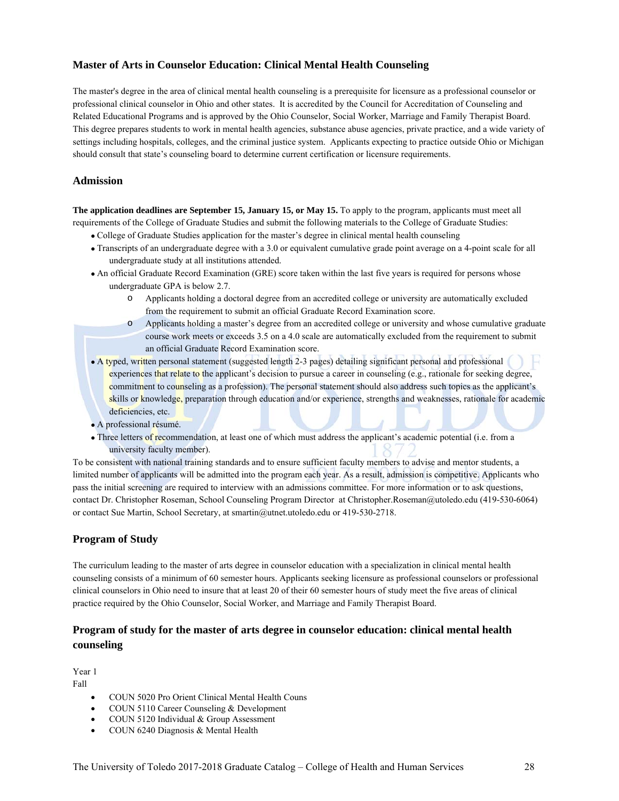## **Master of Arts in Counselor Education: Clinical Mental Health Counseling**

The master's degree in the area of clinical mental health counseling is a prerequisite for licensure as a professional counselor or professional clinical counselor in Ohio and other states. It is accredited by the Council for Accreditation of Counseling and Related Educational Programs and is approved by the Ohio Counselor, Social Worker, Marriage and Family Therapist Board. This degree prepares students to work in mental health agencies, substance abuse agencies, private practice, and a wide variety of settings including hospitals, colleges, and the criminal justice system. Applicants expecting to practice outside Ohio or Michigan should consult that state's counseling board to determine current certification or licensure requirements.

## **Admission**

**The application deadlines are September 15, January 15, or May 15.** To apply to the program, applicants must meet all requirements of the College of Graduate Studies and submit the following materials to the College of Graduate Studies:

- College of Graduate Studies application for the master's degree in clinical mental health counseling
- Transcripts of an undergraduate degree with a 3.0 or equivalent cumulative grade point average on a 4-point scale for all undergraduate study at all institutions attended.
- An official Graduate Record Examination (GRE) score taken within the last five years is required for persons whose undergraduate GPA is below 2.7.
	- o Applicants holding a doctoral degree from an accredited college or university are automatically excluded from the requirement to submit an official Graduate Record Examination score.
	- o Applicants holding a master's degree from an accredited college or university and whose cumulative graduate course work meets or exceeds 3.5 on a 4.0 scale are automatically excluded from the requirement to submit an official Graduate Record Examination score.
- A typed, written personal statement (suggested length 2-3 pages) detailing significant personal and professional experiences that relate to the applicant's decision to pursue a career in counseling (e.g., rationale for seeking degree, commitment to counseling as a profession). The personal statement should also address such topics as the applicant's skills or knowledge, preparation through education and/or experience, strengths and weaknesses, rationale for academic deficiencies, etc.
- A professional résumé.
- Three letters of recommendation, at least one of which must address the applicant's academic potential (i.e. from a university faculty member).

To be consistent with national training standards and to ensure sufficient faculty members to advise and mentor students, a limited number of applicants will be admitted into the program each year. As a result, admission is competitive. Applicants who pass the initial screening are required to interview with an admissions committee. For more information or to ask questions, contact Dr. Christopher Roseman, School Counseling Program Director at Christopher.Roseman@utoledo.edu (419-530-6064) or contact Sue Martin, School Secretary, at smartin@utnet.utoledo.edu or 419-530-2718.

## **Program of Study**

The curriculum leading to the master of arts degree in counselor education with a specialization in clinical mental health counseling consists of a minimum of 60 semester hours. Applicants seeking licensure as professional counselors or professional clinical counselors in Ohio need to insure that at least 20 of their 60 semester hours of study meet the five areas of clinical practice required by the Ohio Counselor, Social Worker, and Marriage and Family Therapist Board.

## **Program of study for the master of arts degree in counselor education: clinical mental health counseling**

Year 1 Fall

- COUN 5020 Pro Orient Clinical Mental Health Couns
- COUN 5110 Career Counseling & Development
- COUN 5120 Individual & Group Assessment
- COUN 6240 Diagnosis & Mental Health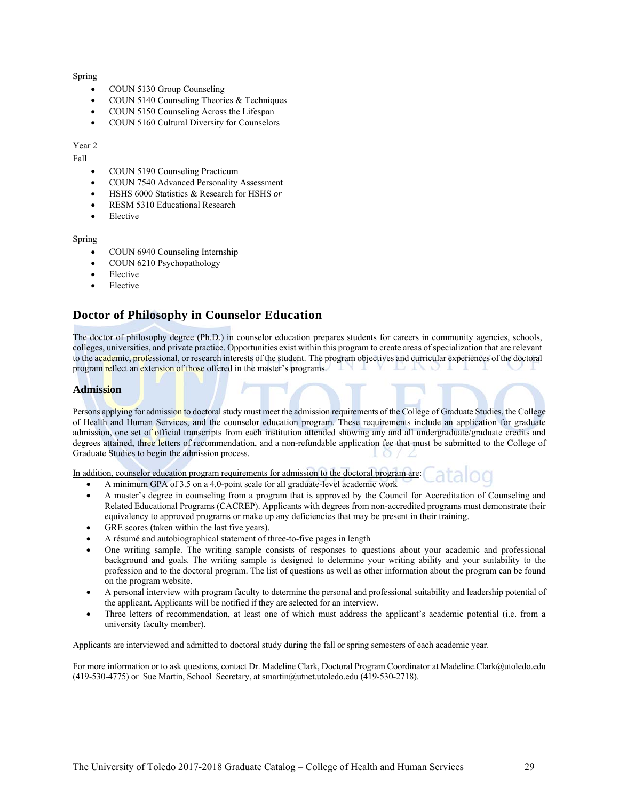#### Spring

- COUN 5130 Group Counseling
- COUN 5140 Counseling Theories & Techniques
- COUN 5150 Counseling Across the Lifespan
- COUN 5160 Cultural Diversity for Counselors

#### Year 2

Fall

- COUN 5190 Counseling Practicum
- COUN 7540 Advanced Personality Assessment
- HSHS 6000 Statistics & Research for HSHS *or*
- RESM 5310 Educational Research
- Elective

#### Spring

- COUN 6940 Counseling Internship
- COUN 6210 Psychopathology
- Elective
- Elective

## **Doctor of Philosophy in Counselor Education**

The doctor of philosophy degree (Ph.D.) in counselor education prepares students for careers in community agencies, schools, colleges, universities, and private practice. Opportunities exist within this program to create areas of specialization that are relevant to the academic, professional, or research interests of the student. The program objectives and curricular experiences of the doctoral program reflect an extension of those offered in the master's programs.

#### **Admission**

Persons applying for admission to doctoral study must meet the admission requirements of the College of Graduate Studies, the College of Health and Human Services, and the counselor education program. These requirements include an application for graduate admission, one set of official transcripts from each institution attended showing any and all undergraduate/graduate credits and degrees attained, three letters of recommendation, and a non-refundable application fee that must be submitted to the College of Graduate Studies to begin the admission process.

In addition, counselor education program requirements for admission to the doctoral program are:

- A minimum GPA of 3.5 on a 4.0-point scale for all graduate-level academic work
- A master's degree in counseling from a program that is approved by the Council for Accreditation of Counseling and Related Educational Programs (CACREP). Applicants with degrees from non-accredited programs must demonstrate their equivalency to approved programs or make up any deficiencies that may be present in their training.
- GRE scores (taken within the last five years).
- A résumé and autobiographical statement of three-to-five pages in length
- One writing sample. The writing sample consists of responses to questions about your academic and professional background and goals. The writing sample is designed to determine your writing ability and your suitability to the profession and to the doctoral program. The list of questions as well as other information about the program can be found on the program website.
- A personal interview with program faculty to determine the personal and professional suitability and leadership potential of the applicant. Applicants will be notified if they are selected for an interview.
- Three letters of recommendation, at least one of which must address the applicant's academic potential (i.e. from a university faculty member).

Applicants are interviewed and admitted to doctoral study during the fall or spring semesters of each academic year.

For more information or to ask questions, contact Dr. Madeline Clark, Doctoral Program Coordinator at Madeline.Clark@utoledo.edu (419-530-4775) or Sue Martin, School Secretary, at smartin@utnet.utoledo.edu (419-530-2718).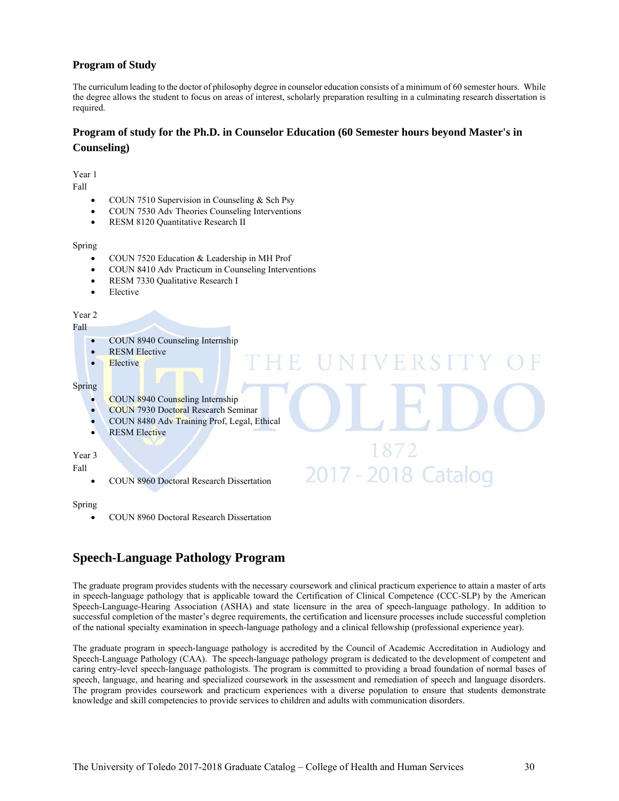## **Program of Study**

The curriculum leading to the doctor of philosophy degree in counselor education consists of a minimum of 60 semester hours. While the degree allows the student to focus on areas of interest, scholarly preparation resulting in a culminating research dissertation is required.

## **Program of study for the Ph.D. in Counselor Education (60 Semester hours beyond Master's in Counseling)**

Year 1

Fall

- COUN 7510 Supervision in Counseling & Sch Psy
- COUN 7530 Adv Theories Counseling Interventions
- **•** RESM 8120 Quantitative Research II

#### Spring

- COUN 7520 Education & Leadership in MH Prof
- COUN 8410 Adv Practicum in Counseling Interventions
- RESM 7330 Qualitative Research I
- Elective

#### Year 2

Fall

- COUN 8940 Counseling Internship
- RESM Elective
- Elective

#### Spring

- COUN 8940 Counseling Internship
- COUN 7930 Doctoral Research Seminar
- COUN 8480 Adv Training Prof, Legal, Ethical
- RESM Elective

## Year 3

Fall

• COUN 8960 Doctoral Research Dissertation

#### Spring

COUN 8960 Doctoral Research Dissertation

# **Speech-Language Pathology Program**

The graduate program provides students with the necessary coursework and clinical practicum experience to attain a master of arts in speech-language pathology that is applicable toward the Certification of Clinical Competence (CCC-SLP) by the American Speech-Language-Hearing Association (ASHA) and state licensure in the area of speech-language pathology. In addition to successful completion of the master's degree requirements, the certification and licensure processes include successful completion of the national specialty examination in speech-language pathology and a clinical fellowship (professional experience year).

 $\mathbb{R}^n$ R

1872

2017 - 2018 Catalog

The graduate program in speech-language pathology is accredited by the Council of Academic Accreditation in Audiology and Speech-Language Pathology (CAA). The speech-language pathology program is dedicated to the development of competent and caring entry-level speech-language pathologists. The program is committed to providing a broad foundation of normal bases of speech, language, and hearing and specialized coursework in the assessment and remediation of speech and language disorders. The program provides coursework and practicum experiences with a diverse population to ensure that students demonstrate knowledge and skill competencies to provide services to children and adults with communication disorders.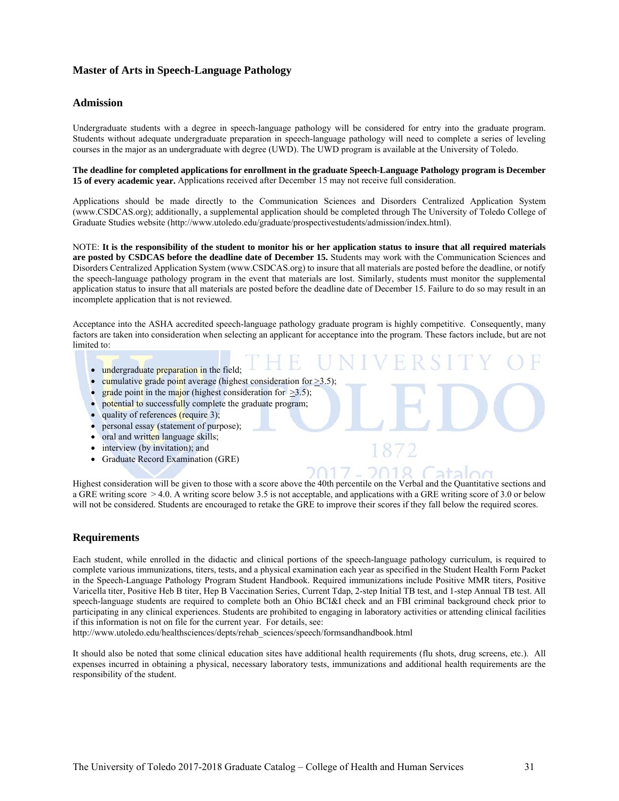## **Master of Arts in Speech-Language Pathology**

#### **Admission**

Undergraduate students with a degree in speech-language pathology will be considered for entry into the graduate program. Students without adequate undergraduate preparation in speech-language pathology will need to complete a series of leveling courses in the major as an undergraduate with degree (UWD). The UWD program is available at the University of Toledo.

**The deadline for completed applications for enrollment in the graduate Speech-Language Pathology program is December 15 of every academic year.** Applications received after December 15 may not receive full consideration.

Applications should be made directly to the Communication Sciences and Disorders Centralized Application System (www.CSDCAS.org); additionally, a supplemental application should be completed through The University of Toledo College of Graduate Studies website (http://www.utoledo.edu/graduate/prospectivestudents/admission/index.html).

NOTE: **It is the responsibility of the student to monitor his or her application status to insure that all required materials are posted by CSDCAS before the deadline date of December 15.** Students may work with the Communication Sciences and Disorders Centralized Application System (www.CSDCAS.org) to insure that all materials are posted before the deadline, or notify the speech-language pathology program in the event that materials are lost. Similarly, students must monitor the supplemental application status to insure that all materials are posted before the deadline date of December 15. Failure to do so may result in an incomplete application that is not reviewed.

Acceptance into the ASHA accredited speech-language pathology graduate program is highly competitive. Consequently, many factors are taken into consideration when selecting an applicant for acceptance into the program. These factors include, but are not limited to:

- undergraduate preparation in the field;
- cumulative grade point average (highest consideration for  $>3.5$ )
- grade point in the major (highest consideration for  $\geq 3.5$ );
- potential to successfully complete the graduate program;
- quality of references (require 3);
- personal essay (statement of purpose);
- oral and written language skills;
- interview (by invitation); and
- Graduate Record Examination (GRE)

Highest consideration will be given to those with a score above the 40th percentile on the Verbal and the Quantitative sections and a GRE writing score > 4.0. A writing score below 3.5 is not acceptable, and applications with a GRE writing score of 3.0 or below will not be considered. Students are encouraged to retake the GRE to improve their scores if they fall below the required scores.

#### **Requirements**

Each student, while enrolled in the didactic and clinical portions of the speech-language pathology curriculum, is required to complete various immunizations, titers, tests, and a physical examination each year as specified in the Student Health Form Packet in the Speech-Language Pathology Program Student Handbook. Required immunizations include Positive MMR titers, Positive Varicella titer, Positive Heb B titer, Hep B Vaccination Series, Current Tdap, 2-step Initial TB test, and 1-step Annual TB test. All speech-language students are required to complete both an Ohio BCI&I check and an FBI criminal background check prior to participating in any clinical experiences. Students are prohibited to engaging in laboratory activities or attending clinical facilities if this information is not on file for the current year. For details, see:

http://www.utoledo.edu/healthsciences/depts/rehab\_sciences/speech/formsandhandbook.html

It should also be noted that some clinical education sites have additional health requirements (flu shots, drug screens, etc.). All expenses incurred in obtaining a physical, necessary laboratory tests, immunizations and additional health requirements are the responsibility of the student.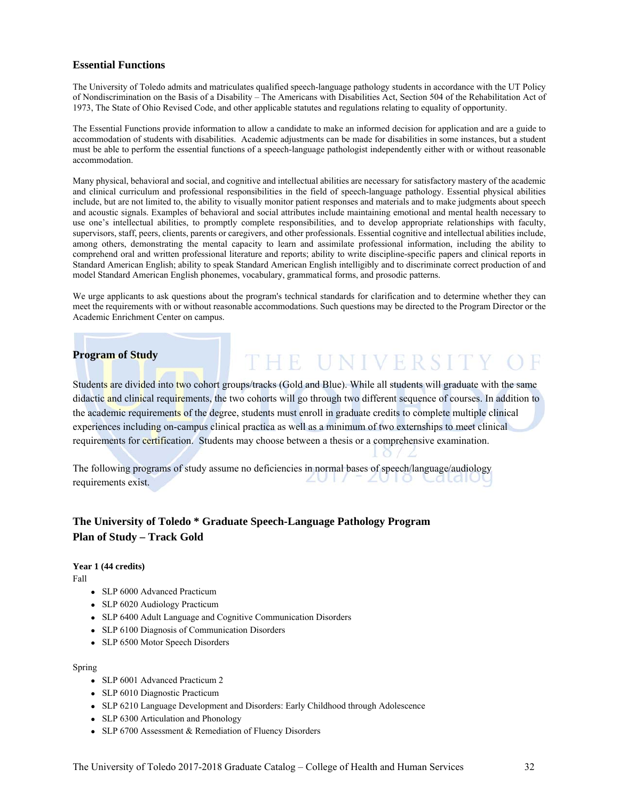#### **Essential Functions**

The University of Toledo admits and matriculates qualified speech-language pathology students in accordance with the UT Policy of Nondiscrimination on the Basis of a Disability – The Americans with Disabilities Act, Section 504 of the Rehabilitation Act of 1973, The State of Ohio Revised Code, and other applicable statutes and regulations relating to equality of opportunity.

The Essential Functions provide information to allow a candidate to make an informed decision for application and are a guide to accommodation of students with disabilities. Academic adjustments can be made for disabilities in some instances, but a student must be able to perform the essential functions of a speech-language pathologist independently either with or without reasonable accommodation.

Many physical, behavioral and social, and cognitive and intellectual abilities are necessary for satisfactory mastery of the academic and clinical curriculum and professional responsibilities in the field of speech-language pathology. Essential physical abilities include, but are not limited to, the ability to visually monitor patient responses and materials and to make judgments about speech and acoustic signals. Examples of behavioral and social attributes include maintaining emotional and mental health necessary to use one's intellectual abilities, to promptly complete responsibilities, and to develop appropriate relationships with faculty, supervisors, staff, peers, clients, parents or caregivers, and other professionals. Essential cognitive and intellectual abilities include, among others, demonstrating the mental capacity to learn and assimilate professional information, including the ability to comprehend oral and written professional literature and reports; ability to write discipline-specific papers and clinical reports in Standard American English; ability to speak Standard American English intelligibly and to discriminate correct production of and model Standard American English phonemes, vocabulary, grammatical forms, and prosodic patterns.

We urge applicants to ask questions about the program's technical standards for clarification and to determine whether they can meet the requirements with or without reasonable accommodations. Such questions may be directed to the Program Director or the Academic Enrichment Center on campus.

## **Program of Study**

THE UNIVERSITY OF

Students are divided into two cohort groups/tracks (Gold and Blue). While all students will graduate with the same didactic and clinical requirements, the two cohorts will go through two different sequence of courses. In addition to the academic requirements of the degree, students must enroll in graduate credits to complete multiple clinical experiences including on-campus clinical practica as well as a minimum of two externships to meet clinical requirements for certification. Students may choose between a thesis or a comprehensive examination.

The following programs of study assume no deficiencies in normal bases of speech/language/audiology<br>requirements quist - 2010 Calale requirements exist.

## **The University of Toledo \* Graduate Speech-Language Pathology Program Plan of Study – Track Gold**

#### **Year 1 (44 credits)**

Fall

- SLP 6000 Advanced Practicum
- SLP 6020 Audiology Practicum
- SLP 6400 Adult Language and Cognitive Communication Disorders
- SLP 6100 Diagnosis of Communication Disorders
- SLP 6500 Motor Speech Disorders

#### Spring

- SLP 6001 Advanced Practicum 2
- SLP 6010 Diagnostic Practicum
- SLP 6210 Language Development and Disorders: Early Childhood through Adolescence
- SLP 6300 Articulation and Phonology
- SLP 6700 Assessment & Remediation of Fluency Disorders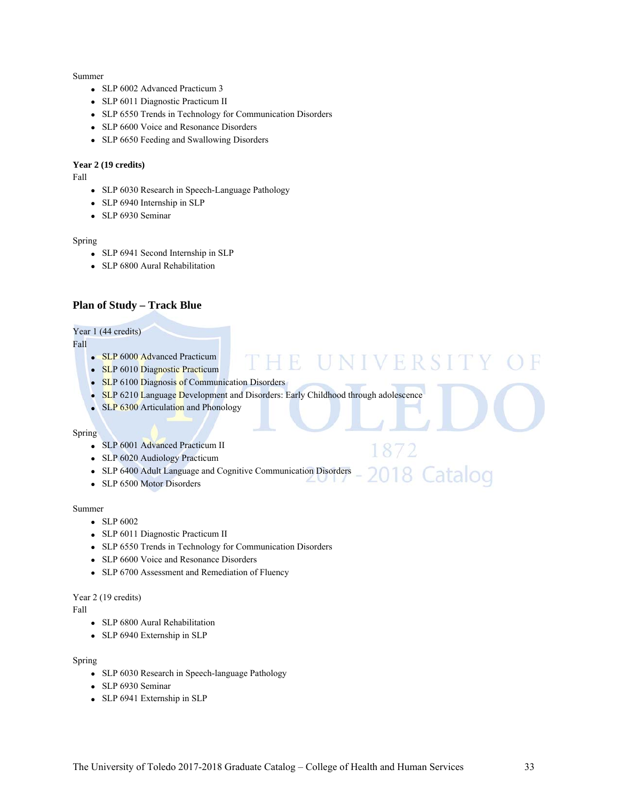#### Summer

- SLP 6002 Advanced Practicum 3
- SLP 6011 Diagnostic Practicum II
- SLP 6550 Trends in Technology for Communication Disorders
- SLP 6600 Voice and Resonance Disorders
- SLP 6650 Feeding and Swallowing Disorders

#### **Year 2 (19 credits)**

Fall

- SLP 6030 Research in Speech-Language Pathology
- SLP 6940 Internship in SLP
- SLP 6930 Seminar

#### Spring

- SLP 6941 Second Internship in SLP
- SLP 6800 Aural Rehabilitation

## **Plan of Study – Track Blue**

#### Year 1 (44 credits)

Fall

- SLP 6000 Advanced Practicum
- SLP 6010 Diagnostic Practicum
- SLP 6100 Diagnosis of Communication Disorders
- SLP 6210 Language Development and Disorders: Early Childhood through adolescence
- SLP 6300 Articulation and Phonology

#### Spring

- SLP 6001 Advanced Practicum II
- SLP 6020 Audiology Practicum
- SLP 6400 Adult Language and Cognitive Communication Disorders Catalog

Ħ.

UNIVERSI

872

• SLP 6500 Motor Disorders

#### Summer

- SLP 6002
- SLP 6011 Diagnostic Practicum II
- SLP 6550 Trends in Technology for Communication Disorders
- SLP 6600 Voice and Resonance Disorders
- SLP 6700 Assessment and Remediation of Fluency

#### Year 2 (19 credits)

Fall

- SLP 6800 Aural Rehabilitation
- SLP 6940 Externship in SLP

#### Spring

- SLP 6030 Research in Speech-language Pathology
- SLP 6930 Seminar
- SLP 6941 Externship in SLP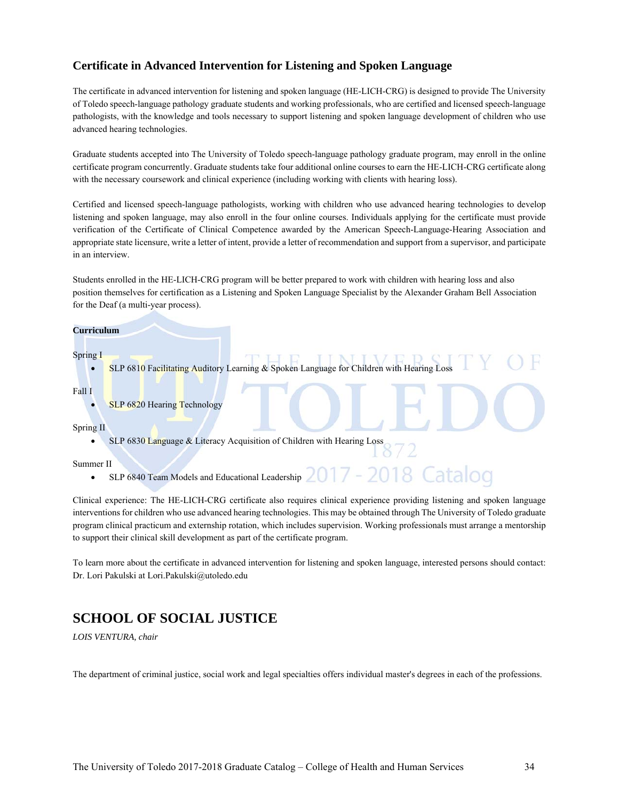## **Certificate in Advanced Intervention for Listening and Spoken Language**

The certificate in advanced intervention for listening and spoken language (HE-LICH-CRG) is designed to provide The University of Toledo speech-language pathology graduate students and working professionals, who are certified and licensed speech-language pathologists, with the knowledge and tools necessary to support listening and spoken language development of children who use advanced hearing technologies.

Graduate students accepted into The University of Toledo speech-language pathology graduate program, may enroll in the online certificate program concurrently. Graduate students take four additional online courses to earn the HE-LICH-CRG certificate along with the necessary coursework and clinical experience (including working with clients with hearing loss).

Certified and licensed speech-language pathologists, working with children who use advanced hearing technologies to develop listening and spoken language, may also enroll in the four online courses. Individuals applying for the certificate must provide verification of the Certificate of Clinical Competence awarded by the American Speech-Language-Hearing Association and appropriate state licensure, write a letter of intent, provide a letter of recommendation and support from a supervisor, and participate in an interview.

Students enrolled in the HE-LICH-CRG program will be better prepared to work with children with hearing loss and also position themselves for certification as a Listening and Spoken Language Specialist by the Alexander Graham Bell Association for the Deaf (a multi-year process).

#### **Curriculum**

Spring I

SLP 6810 Facilitating Auditory Learning & Spoken Language for Children with Hearing Loss

#### Fall I

SLP 6820 Hearing Technology

#### Spring II

SLP 6830 Language & Literacy Acquisition of Children with Hearing Loss

#### Summer II

SLP 6840 Team Models and Educational Leadership  $2017 -$ 

Clinical experience: The HE-LICH-CRG certificate also requires clinical experience providing listening and spoken language interventions for children who use advanced hearing technologies. This may be obtained through The University of Toledo graduate program clinical practicum and externship rotation, which includes supervision. Working professionals must arrange a mentorship to support their clinical skill development as part of the certificate program.

To learn more about the certificate in advanced intervention for listening and spoken language, interested persons should contact: Dr. Lori Pakulski at Lori.Pakulski@utoledo.edu

# **SCHOOL OF SOCIAL JUSTICE**

*LOIS VENTURA, chair* 

The department of criminal justice, social work and legal specialties offers individual master's degrees in each of the professions.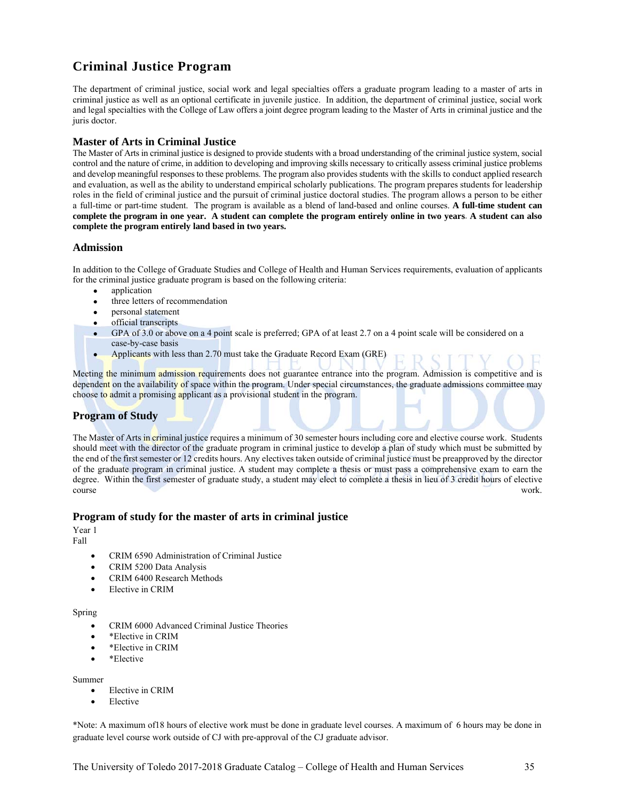# **Criminal Justice Program**

The department of criminal justice, social work and legal specialties offers a graduate program leading to a master of arts in criminal justice as well as an optional certificate in juvenile justice. In addition, the department of criminal justice, social work and legal specialties with the College of Law offers a joint degree program leading to the Master of Arts in criminal justice and the juris doctor.

## **Master of Arts in Criminal Justice**

The Master of Arts in criminal justice is designed to provide students with a broad understanding of the criminal justice system, social control and the nature of crime, in addition to developing and improving skills necessary to critically assess criminal justice problems and develop meaningful responses to these problems. The program also provides students with the skills to conduct applied research and evaluation, as well as the ability to understand empirical scholarly publications. The program prepares students for leadership roles in the field of criminal justice and the pursuit of criminal justice doctoral studies. The program allows a person to be either a full-time or part-time student. The program is available as a blend of land-based and online courses. **A full-time student can complete the program in one year. A student can complete the program entirely online in two years**. **A student can also complete the program entirely land based in two years.**

## **Admission**

In addition to the College of Graduate Studies and College of Health and Human Services requirements, evaluation of applicants for the criminal justice graduate program is based on the following criteria:

- application
- three letters of recommendation
- personal statement
- official transcripts
- GPA of 3.0 or above on a 4 point scale is preferred; GPA of at least 2.7 on a 4 point scale will be considered on a case-by-case basis
- Applicants with less than 2.70 must take the Graduate Record Exam (GRE)

Meeting the minimum admission requirements does not guarantee entrance into the program. Admission is competitive and is dependent on the availability of space within the program. Under special circumstances, the graduate admissions committee may choose to admit a promising applicant as a provisional student in the program.

## **Program of Study**

The Master of Arts in criminal justice requires a minimum of 30 semester hours including core and elective course work. Students should meet with the director of the graduate program in criminal justice to develop a plan of study which must be submitted by the end of the first semester or 12 credits hours. Any electives taken outside of criminal justice must be preapproved by the director of the graduate program in criminal justice. A student may complete a thesis or must pass a comprehensive exam to earn the degree. Within the first semester of graduate study, a student may elect to complete a thesis in lieu of 3 credit hours of elective course work.

## **Program of study for the master of arts in criminal justice**

Year 1

Fall

- CRIM 6590 Administration of Criminal Justice
- CRIM 5200 Data Analysis
- CRIM 6400 Research Methods
- Elective in CRIM

#### Spring

- CRIM 6000 Advanced Criminal Justice Theories
- \*Elective in CRIM
- \*Elective in CRIM
- \*Elective

Summer

- Elective in CRIM
- Elective

\*Note: A maximum of18 hours of elective work must be done in graduate level courses. A maximum of 6 hours may be done in graduate level course work outside of CJ with pre-approval of the CJ graduate advisor.

The University of Toledo 2017-2018 Graduate Catalog – College of Health and Human Services 35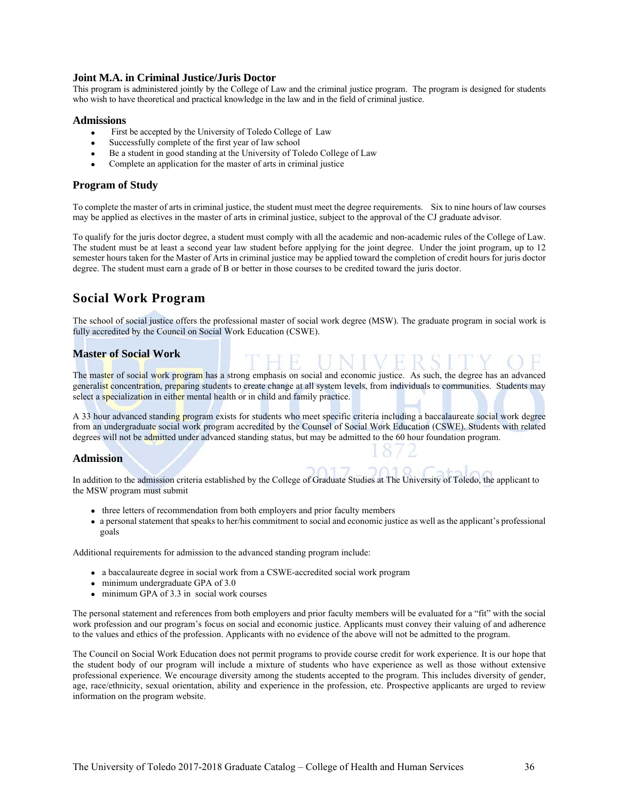#### **Joint M.A. in Criminal Justice/Juris Doctor**

This program is administered jointly by the College of Law and the criminal justice program. The program is designed for students who wish to have theoretical and practical knowledge in the law and in the field of criminal justice.

#### **Admissions**

- First be accepted by the University of Toledo College of Law
- Successfully complete of the first year of law school
- Be a student in good standing at the University of Toledo College of Law
- Complete an application for the master of arts in criminal justice

#### **Program of Study**

To complete the master of arts in criminal justice, the student must meet the degree requirements. Six to nine hours of law courses may be applied as electives in the master of arts in criminal justice, subject to the approval of the CJ graduate advisor.

To qualify for the juris doctor degree, a student must comply with all the academic and non-academic rules of the College of Law. The student must be at least a second year law student before applying for the joint degree. Under the joint program, up to 12 semester hours taken for the Master of Arts in criminal justice may be applied toward the completion of credit hours for juris doctor degree. The student must earn a grade of B or better in those courses to be credited toward the juris doctor.

# **Social Work Program**

The school of social justice offers the professional master of social work degree (MSW). The graduate program in social work is fully accredited by the Council on Social Work Education (CSWE).

## **Master of Social Work**

The master of social work program has a strong emphasis on social and economic justice. As such, the degree has an advanced generalist concentration, preparing students to create change at all system levels, from individuals to communities. Students may select a specialization in either mental health or in child and family practice.

A 33 hour advanced standing program exists for students who meet specific criteria including a baccalaureate social work degree from an undergraduate social work program accredited by the Counsel of Social Work Education (CSWE). Students with related degrees will not be admitted under advanced standing status, but may be admitted to the 60 hour foundation program.

#### **Admission**

In addition to the admission criteria established by the College of Graduate Studies at The University of Toledo, the applicant to the MSW program must submit

- three letters of recommendation from both employers and prior faculty members
- a personal statement that speaks to her/his commitment to social and economic justice as well as the applicant's professional goals

Additional requirements for admission to the advanced standing program include:

- a baccalaureate degree in social work from a CSWE-accredited social work program
- minimum undergraduate GPA of 3.0
- minimum GPA of 3.3 in social work courses

The personal statement and references from both employers and prior faculty members will be evaluated for a "fit" with the social work profession and our program's focus on social and economic justice. Applicants must convey their valuing of and adherence to the values and ethics of the profession. Applicants with no evidence of the above will not be admitted to the program.

The Council on Social Work Education does not permit programs to provide course credit for work experience. It is our hope that the student body of our program will include a mixture of students who have experience as well as those without extensive professional experience. We encourage diversity among the students accepted to the program. This includes diversity of gender, age, race/ethnicity, sexual orientation, ability and experience in the profession, etc. Prospective applicants are urged to review information on the program website.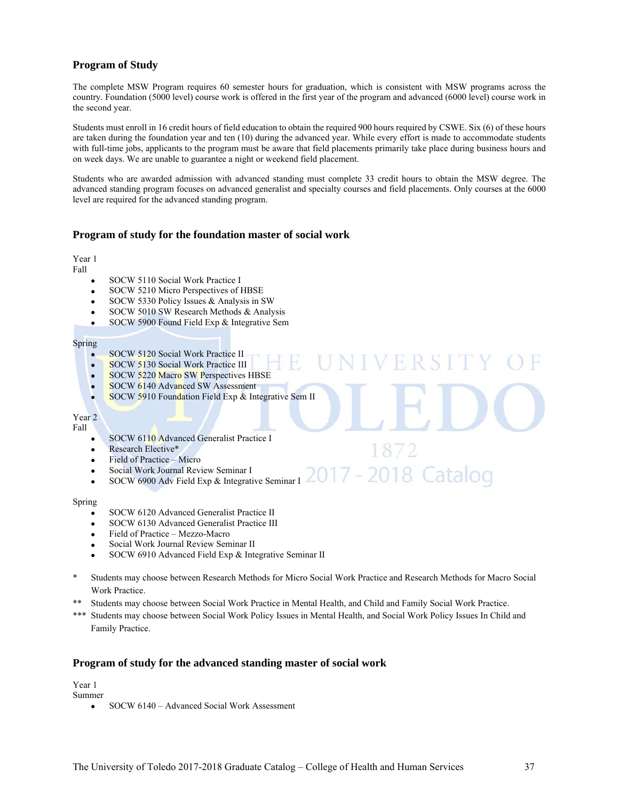## **Program of Study**

The complete MSW Program requires 60 semester hours for graduation, which is consistent with MSW programs across the country. Foundation (5000 level) course work is offered in the first year of the program and advanced (6000 level) course work in the second year.

Students must enroll in 16 credit hours of field education to obtain the required 900 hours required by CSWE. Six (6) of these hours are taken during the foundation year and ten (10) during the advanced year. While every effort is made to accommodate students with full-time jobs, applicants to the program must be aware that field placements primarily take place during business hours and on week days. We are unable to guarantee a night or weekend field placement.

Students who are awarded admission with advanced standing must complete 33 credit hours to obtain the MSW degree. The advanced standing program focuses on advanced generalist and specialty courses and field placements. Only courses at the 6000 level are required for the advanced standing program.

#### **Program of study for the foundation master of social work**

Year 1

Fall

- SOCW 5110 Social Work Practice I
- SOCW 5210 Micro Perspectives of HBSE
- SOCW 5330 Policy Issues & Analysis in SW
- SOCW 5010 SW Research Methods & Analysis
- SOCW 5900 Found Field Exp & Integrative Sem

#### Spring

- SOCW 5120 Social Work Practice II
- **SOCW 5130 Social Work Practice III**
- SOCW 5220 Macro SW Perspectives HBSE
- SOCW 6140 Advanced SW Assessment
- SOCW 5910 Foundation Field Exp  $\&$  Integrative Sem II

Year 2 Fall

- **SOCW 6110 Advanced Generalist Practice I**
- Research Elective\*
- Field of Practice Micro
- Social Work Journal Review Seminar I
- 7 2018 Catalog SOCW 6900 Adv Field Exp & Integrative Seminar I

1872

#### Spring

- SOCW 6120 Advanced Generalist Practice II
- SOCW 6130 Advanced Generalist Practice III
- Field of Practice Mezzo-Macro
- Social Work Journal Review Seminar II
- SOCW 6910 Advanced Field Exp & Integrative Seminar II
- \* Students may choose between Research Methods for Micro Social Work Practice and Research Methods for Macro Social Work Practice.
- \*\* Students may choose between Social Work Practice in Mental Health, and Child and Family Social Work Practice.
- \*\*\* Students may choose between Social Work Policy Issues in Mental Health, and Social Work Policy Issues In Child and Family Practice.

#### **Program of study for the advanced standing master of social work**

Year 1

- Summer
	- SOCW 6140 Advanced Social Work Assessment